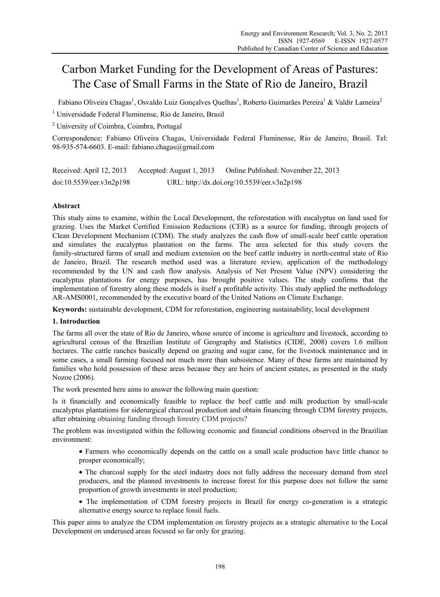# Carbon Market Funding for the Development of Areas of Pastures: The Case of Small Farms in the State of Rio de Janeiro, Brazil

Fabiano Oliveira Chagas<sup>1</sup>, Osvaldo Luiz Gonçalves Quelhas<sup>1</sup>, Roberto Guimarães Pereira<sup>1</sup> & Valdir Lameira<sup>2</sup>

<sup>1</sup> Universidade Federal Fluminense, Rio de Janeiro, Brasil

<sup>2</sup> University of Coimbra, Coimbra, Portugal

Correspondence: Fabiano Oliveira Chagas, Universidade Federal Fluminense, Rio de Janeiro, Brasil. Tel: 98-935-574-6603. E-mail: fabiano.chagas@gmail.com

Received: April 12, 2013 Accepted: August 1, 2013 Online Published: November 22, 2013 doi:10.5539/eer.v3n2p198 URL: http://dx.doi.org/10.5539/eer.v3n2p198

# **Abstract**

This study aims to examine, within the Local Development, the reforestation with eucalyptus on land used for grazing. Uses the Market Certified Emission Reductions (CER) as a source for funding, through projects of Clean Development Mechanism (CDM). The study analyzes the cash flow of small-scale beef cattle operation and simulates the eucalyptus plantation on the farms. The area selected for this study covers the family-structured farms of small and medium extension on the beef cattle industry in north-central state of Rio de Janeiro, Brazil. The research method used was a literature review, application of the methodology recommended by the UN and cash flow analysis. Analysis of Net Present Value (NPV) considering the eucalyptus plantations for energy purposes, has brought positive values. The study confirms that the implementation of forestry along these models is itself a profitable activity. This study applied the methodology AR-AMS0001, recommended by the executive board of the United Nations on Climate Exchange.

**Keywords:** sustainable development, CDM for reforestation, engineering sustainability, local development

# **1. Introduction**

The farms all over the state of Rio de Janeiro, whose source of income is agriculture and livestock, according to agricultural census of the Brazilian Institute of Geography and Statistics (CIDE, 2008) covers 1.6 million hectares. The cattle ranches basically depend on grazing and sugar cane, for the livestock maintenance and in some cases, a small farming focused not much more than subsistence. Many of these farms are maintained by families who hold possession of these areas because they are heirs of ancient estates, as presented in the study Nozoe (2006).

The work presented here aims to answer the following main question:

Is it financially and economically feasible to replace the beef cattle and milk production by small-scale eucalyptus plantations for siderurgical charcoal production and obtain financing through CDM forestry projects, after obtaining obtaining funding through forestry CDM projects?

The problem was investigated within the following economic and financial conditions observed in the Brazilian environment:

 Farmers who economically depends on the cattle on a small scale production have little chance to prosper economically;

- The charcoal supply for the steel industry does not fully address the necessary demand from steel producers, and the planned investments to increase forest for this purpose does not follow the same proportion of growth investments in steel production;
- The implementation of CDM forestry projects in Brazil for energy co-generation is a strategic alternative energy source to replace fossil fuels.

This paper aims to analyze the CDM implementation on forestry projects as a strategic alternative to the Local Development on underused areas focused so far only for grazing.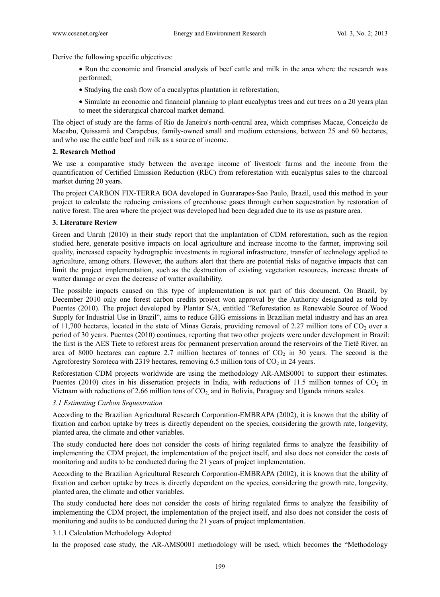Derive the following specific objectives:

- Run the economic and financial analysis of beef cattle and milk in the area where the research was performed;
- Studying the cash flow of a eucalyptus plantation in reforestation;
- Simulate an economic and financial planning to plant eucalyptus trees and cut trees on a 20 years plan to meet the siderurgical charcoal market demand.

The object of study are the farms of Rio de Janeiro's north-central area, which comprises Macae, Conceição de Macabu, Quissamã and Carapebus, family-owned small and medium extensions, between 25 and 60 hectares, and who use the cattle beef and milk as a source of income.

#### **2. Research Method**

We use a comparative study between the average income of livestock farms and the income from the quantification of Certified Emission Reduction (REC) from reforestation with eucalyptus sales to the charcoal market during 20 years.

The project CARBON FIX-TERRA BOA developed in Guararapes-Sao Paulo, Brazil, used this method in your project to calculate the reducing emissions of greenhouse gases through carbon sequestration by restoration of native forest. The area where the project was developed had been degraded due to its use as pasture area.

#### **3. Literature Review**

Green and Unruh (2010) in their study report that the implantation of CDM reforestation, such as the region studied here, generate positive impacts on local agriculture and increase income to the farmer, improving soil quality, increased capacity hydrographic investments in regional infrastructure, transfer of technology applied to agriculture, among others. However, the authors alert that there are potential risks of negative impacts that can limit the project implementation, such as the destruction of existing vegetation resources, increase threats of watter damage or even the decrease of watter availability.

The possible impacts caused on this type of implementation is not part of this document. On Brazil, by December 2010 only one forest carbon credits project won approval by the Authority designated as told by Puentes (2010). The project developed by Plantar S/A, entitled "Reforestation as Renewable Source of Wood Supply for Industrial Use in Brazil", aims to reduce GHG emissions in Brazilian metal industry and has an area of 11,700 hectares, located in the state of Minas Gerais, providing removal of 2.27 million tons of  $CO<sub>2</sub>$  over a period of 30 years. Puentes (2010) continues, reporting that two other projects were under development in Brazil: the first is the AES Tiete to reforest areas for permanent preservation around the reservoirs of the Tietê River, an area of 8000 hectares can capture 2.7 million hectares of tonnes of  $CO<sub>2</sub>$  in 30 years. The second is the Agroforestry Soroteca with 2319 hectares, removing 6.5 million tons of  $CO<sub>2</sub>$  in 24 years.

Reforestation CDM projects worldwide are using the methodology AR-AMS0001 to support their estimates. Puentes (2010) cites in his dissertation projects in India, with reductions of 11.5 million tonnes of  $CO<sub>2</sub>$  in Vietnam with reductions of 2.66 million tons of CO<sub>2</sub> and in Bolivia, Paraguay and Uganda minors scales.

#### *3.1 Estimating Carbon Sequestration*

According to the Brazilian Agricultural Research Corporation-EMBRAPA (2002), it is known that the ability of fixation and carbon uptake by trees is directly dependent on the species, considering the growth rate, longevity, planted area, the climate and other variables.

The study conducted here does not consider the costs of hiring regulated firms to analyze the feasibility of implementing the CDM project, the implementation of the project itself, and also does not consider the costs of monitoring and audits to be conducted during the 21 years of project implementation.

According to the Brazilian Agricultural Research Corporation-EMBRAPA (2002), it is known that the ability of fixation and carbon uptake by trees is directly dependent on the species, considering the growth rate, longevity, planted area, the climate and other variables.

The study conducted here does not consider the costs of hiring regulated firms to analyze the feasibility of implementing the CDM project, the implementation of the project itself, and also does not consider the costs of monitoring and audits to be conducted during the 21 years of project implementation.

#### 3.1.1 Calculation Methodology Adopted

In the proposed case study, the AR-AMS0001 methodology will be used, which becomes the "Methodology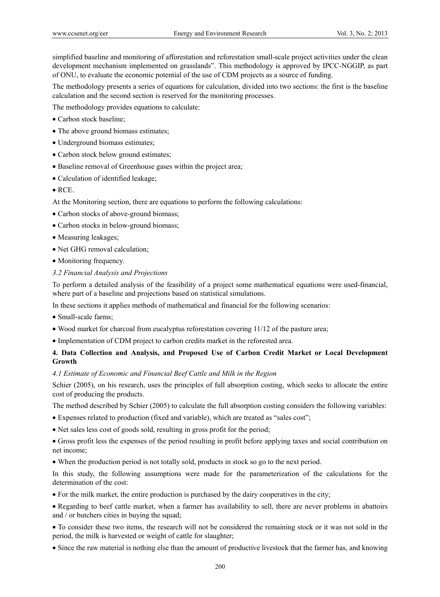simplified baseline and monitoring of afforestation and reforestation small-scale project activities under the clean development mechanism implemented on grasslands". This methodology is approved by IPCC-NGGIP, as part of ONU, to evaluate the economic potential of the use of CDM projects as a source of funding.

The methodology presents a series of equations for calculation, divided into two sections: the first is the baseline calculation and the second section is reserved for the monitoring processes.

The methodology provides equations to calculate:

- Carbon stock baseline:
- The above ground biomass estimates;
- Underground biomass estimates;
- Carbon stock below ground estimates;
- Baseline removal of Greenhouse gases within the project area;
- Calculation of identified leakage;
- RCE.

At the Monitoring section, there are equations to perform the following calculations:

- Carbon stocks of above-ground biomass;
- Carbon stocks in below-ground biomass;
- Measuring leakages;
- Net GHG removal calculation;
- Monitoring frequency.
- *3.2 Financial Analysis and Projections*

To perform a detailed analysis of the feasibility of a project some mathematical equations were used-financial, where part of a baseline and projections based on statistical simulations.

In these sections it applies methods of mathematical and financial for the following scenarios:

- Small-scale farms:
- Wood market for charcoal from eucalyptus reforestation covering 11/12 of the pasture area;
- Implementation of CDM project to carbon credits market in the reforested area.

## **4. Data Collection and Analysis, and Proposed Use of Carbon Credit Market or Local Development Growth**

#### *4.1 Estimate of Economic and Financial Beef Cattle and Milk in the Region*

Schier (2005), on his research, uses the principles of full absorption costing, which seeks to allocate the entire cost of producing the products.

The method described by Schier (2005) to calculate the full absorption costing considers the following variables:

- Expenses related to production (fixed and variable), which are treated as "sales cost";
- Net sales less cost of goods sold, resulting in gross profit for the period;
- Gross profit less the expenses of the period resulting in profit before applying taxes and social contribution on net income;
- When the production period is not totally sold, products in stock so go to the next period.

In this study, the following assumptions were made for the parameterization of the calculations for the determination of the cost:

For the milk market, the entire production is purchased by the dairy cooperatives in the city;

 Regarding to beef cattle market, when a farmer has availability to sell, there are never problems in abattoirs and / or butchers cities in buying the squad;

 To consider these two items, the research will not be considered the remaining stock or it was not sold in the period, the milk is harvested or weight of cattle for slaughter;

Since the raw material is nothing else than the amount of productive livestock that the farmer has, and knowing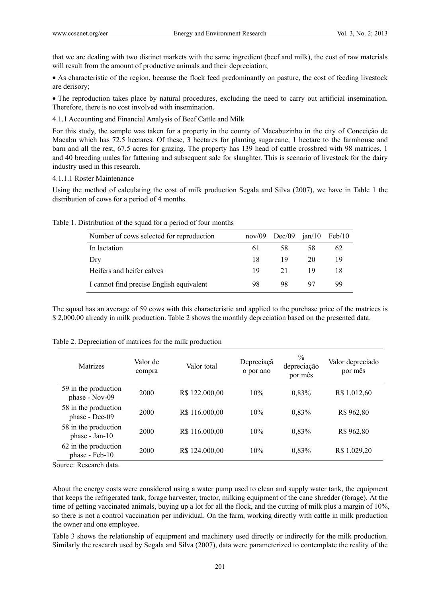that we are dealing with two distinct markets with the same ingredient (beef and milk), the cost of raw materials will result from the amount of productive animals and their depreciation;

 As characteristic of the region, because the flock feed predominantly on pasture, the cost of feeding livestock are derisory;

 The reproduction takes place by natural procedures, excluding the need to carry out artificial insemination. Therefore, there is no cost involved with insemination.

4.1.1 Accounting and Financial Analysis of Beef Cattle and Milk

For this study, the sample was taken for a property in the county of Macabuzinho in the city of Conceição de Macabu which has 72.5 hectares. Of these, 3 hectares for planting sugarcane, 1 hectare to the farmhouse and barn and all the rest, 67.5 acres for grazing. The property has 139 head of cattle crossbred with 98 matrices, 1 and 40 breeding males for fattening and subsequent sale for slaughter. This is scenario of livestock for the dairy industry used in this research.

#### 4.1.1.1 Roster Maintenance

Using the method of calculating the cost of milk production Segala and Silva (2007), we have in Table 1 the distribution of cows for a period of 4 months.

| Number of cows selected for reproduction | nov/09 | Dec/09 | jan/10 | Feb/10 |
|------------------------------------------|--------|--------|--------|--------|
| In lactation                             | 61     | 58     | 58     | 62     |
| Dry                                      | 18     | 19     | 20     | 19     |
| Heifers and heifer calves                | 19     | 21     | 19     |        |
| I cannot find precise English equivalent | 98     | 98     | 97     | 99     |

Table 1. Distribution of the squad for a period of four months

The squad has an average of 59 cows with this characteristic and applied to the purchase price of the matrices is \$ 2,000.00 already in milk production. Table 2 shows the monthly depreciation based on the presented data.

| Matrizes                               | Valor de<br>compra | Valor total    | Depreciaçã<br>o por ano | $\%$<br>depreciação<br>por mês | Valor depreciado<br>por mês |
|----------------------------------------|--------------------|----------------|-------------------------|--------------------------------|-----------------------------|
| 59 in the production<br>phase - Nov-09 | 2000               | R\$ 122.000,00 | 10%                     | 0,83%                          | R\$ 1.012,60                |
| 58 in the production<br>phase - Dec-09 | 2000               | R\$ 116.000,00 | 10%                     | 0,83%                          | R\$ 962,80                  |
| 58 in the production<br>phase - Jan-10 | 2000               | R\$ 116.000,00 | 10%                     | 0,83%                          | R\$ 962,80                  |
| 62 in the production<br>phase - Feb-10 | 2000               | R\$ 124,000,00 | 10%                     | 0,83%                          | R\$ 1.029,20                |

|  |  | Table 2. Depreciation of matrices for the milk production |
|--|--|-----------------------------------------------------------|
|  |  |                                                           |

Source: Research data.

About the energy costs were considered using a water pump used to clean and supply water tank, the equipment that keeps the refrigerated tank, forage harvester, tractor, milking equipment of the cane shredder (forage). At the time of getting vaccinated animals, buying up a lot for all the flock, and the cutting of milk plus a margin of 10%, so there is not a control vaccination per individual. On the farm, working directly with cattle in milk production the owner and one employee.

Table 3 shows the relationship of equipment and machinery used directly or indirectly for the milk production. Similarly the research used by Segala and Silva (2007), data were parameterized to contemplate the reality of the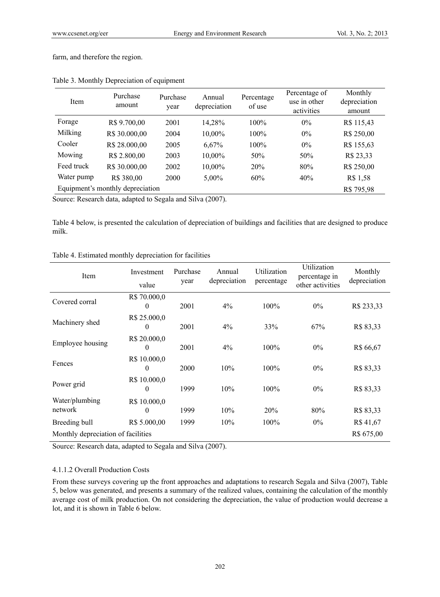farm, and therefore the region.

| <b>Item</b> | Purchase<br>amount               | Purchase<br>year | Annual<br>depreciation | Percentage<br>of use | Percentage of<br>use in other<br>activities | Monthly<br>depreciation<br>amount |
|-------------|----------------------------------|------------------|------------------------|----------------------|---------------------------------------------|-----------------------------------|
| Forage      | R\$ 9.700,00                     | 2001             | 14,28%                 | $100\%$              | $0\%$                                       | R\$ 115,43                        |
| Milking     | R\$ 30.000,00                    | 2004             | 10,00%                 | $100\%$              | $0\%$                                       | R\$ 250,00                        |
| Cooler      | R\$ 28.000,00                    | 2005             | 6,67%                  | $100\%$              | $0\%$                                       | R\$ 155,63                        |
| Mowing      | R\$ 2.800,00                     | 2003             | 10,00%                 | 50%                  | 50%                                         | R\$ 23,33                         |
| Feed truck  | R\$ 30.000,00                    | 2002             | 10,00%                 | 20%                  | 80%                                         | R\$ 250,00                        |
| Water pump  | R\$ 380,00                       | 2000             | 5,00%                  | 60%                  | 40%                                         | R\$ 1,58                          |
|             | Equipment's monthly depreciation |                  |                        |                      |                                             | R\$795,98                         |

## Table 3. Monthly Depreciation of equipment

Source: Research data, adapted to Segala and Silva (2007).

Table 4 below, is presented the calculation of depreciation of buildings and facilities that are designed to produce milk.

## Table 4. Estimated monthly depreciation for facilities

| Item                               | Investment<br>value      | Purchase<br>year | Annual<br>depreciation | Utilization<br>percentage | Utilization<br>percentage in<br>other activities | Monthly<br>depreciation |
|------------------------------------|--------------------------|------------------|------------------------|---------------------------|--------------------------------------------------|-------------------------|
| Covered corral                     | R\$ 70.000,0<br>0        | 2001             | $4\%$                  | 100%                      | $0\%$                                            | R\$ 233,33              |
| Machinery shed                     | R\$ 25.000,0<br>0        | 2001             | 4%                     | 33%                       | 67%                                              | R\$ 83,33               |
| Employee housing                   | R\$ 20.000,0<br>0        | 2001             | 4%                     | 100%                      | 0%                                               | R\$ 66,67               |
| Fences                             | R\$ 10.000,0<br>0        | 2000             | 10%                    | $100\%$                   | $0\%$                                            | R\$ 83,33               |
| Power grid                         | R\$ 10.000,0<br>0        | 1999             | 10%                    | 100%                      | $0\%$                                            | R\$ 83,33               |
| Water/plumbing<br>network          | R\$ 10.000,0<br>$\theta$ | 1999             | 10%                    | 20%                       | 80%                                              | R\$ 83,33               |
| Breeding bull                      | R\$ 5.000,00             | 1999             | 10%                    | 100%                      | $0\%$                                            | R\$ 41,67               |
| Monthly depreciation of facilities |                          |                  |                        |                           |                                                  | R\$ 675,00              |

Source: Research data, adapted to Segala and Silva (2007).

## 4.1.1.2 Overall Production Costs

From these surveys covering up the front approaches and adaptations to research Segala and Silva (2007), Table 5, below was generated, and presents a summary of the realized values, containing the calculation of the monthly average cost of milk production. On not considering the depreciation, the value of production would decrease a lot, and it is shown in Table 6 below.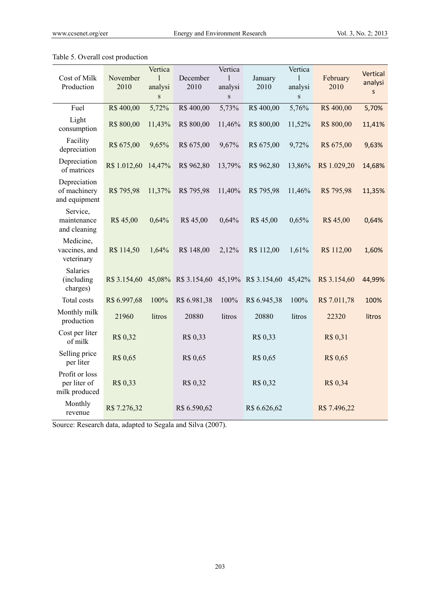|                                                 |              | Vertica      |                                                      | Vertica     |              | Vertica     |              | Vertical |
|-------------------------------------------------|--------------|--------------|------------------------------------------------------|-------------|--------------|-------------|--------------|----------|
| Cost of Milk                                    | November     | 1            | December                                             | 1           | January      | 1           | February     | analysi  |
| Production                                      | 2010         | analysi      | 2010                                                 | analysi     | 2010         | analysi     | 2010         | $\sf S$  |
|                                                 |              | $\, {\bf S}$ |                                                      | $\mathbf S$ |              | $\mathbf S$ |              |          |
| Fuel                                            | R\$400,00    | 5,72%        | R\$400,00                                            | 5,73%       | R\$400,00    | 5,76%       | R\$400,00    | 5,70%    |
| Light<br>consumption                            | R\$ 800,00   | 11,43%       | R\$ 800,00                                           | 11,46%      | R\$ 800,00   | 11,52%      | R\$ 800,00   | 11,41%   |
| Facility<br>depreciation                        | R\$ 675,00   | 9,65%        | R\$ 675,00                                           | 9,67%       | R\$ 675,00   | 9,72%       | R\$ 675,00   | 9,63%    |
| Depreciation<br>of matrices                     | R\$ 1.012,60 | 14,47%       | R\$ 962,80                                           | 13,79%      | R\$ 962,80   | 13,86%      | R\$ 1.029,20 | 14,68%   |
| Depreciation<br>of machinery<br>and equipment   | R\$ 795,98   | 11,37%       | R\$ 795,98                                           | 11,40%      | R\$ 795,98   | 11,46%      | R\$ 795,98   | 11,35%   |
| Service,<br>maintenance<br>and cleaning         | R\$45,00     | 0,64%        | R\$ 45,00                                            | 0,64%       | R\$ 45,00    | 0,65%       | R\$45,00     | 0,64%    |
| Medicine,<br>vaccines, and<br>veterinary        | R\$ 114,50   | 1,64%        | R\$ 148,00                                           | 2,12%       | R\$ 112,00   | 1,61%       | R\$ 112,00   | 1,60%    |
| <b>Salaries</b><br>(including<br>charges)       |              |              | R\$ 3.154,60 45,08% R\$ 3.154,60 45,19% R\$ 3.154,60 |             |              | 45,42%      | R\$ 3.154,60 | 44,99%   |
| Total costs                                     | R\$ 6.997,68 | 100%         | R\$ 6.981,38                                         | 100%        | R\$ 6.945,38 | 100%        | R\$ 7.011,78 | 100%     |
| Monthly milk<br>production                      | 21960        | litros       | 20880                                                | litros      | 20880        | litros      | 22320        | litros   |
| Cost per liter<br>of milk                       | R\$ 0,32     |              | R\$ 0,33                                             |             | R\$ 0,33     |             | R\$ 0,31     |          |
| Selling price<br>per liter                      | R\$ 0,65     |              | R\$ 0,65                                             |             | R\$ 0,65     |             | R\$ 0,65     |          |
| Profit or loss<br>per liter of<br>milk produced | R\$ 0,33     |              | R\$ 0,32                                             |             | R\$ 0,32     |             | R\$ 0,34     |          |
| Monthly<br>revenue                              | R\$ 7.276,32 |              | R\$ 6.590,62                                         |             | R\$ 6.626,62 |             | R\$ 7.496,22 |          |

# Table 5. Overall cost production

Source: Research data, adapted to Segala and Silva (2007).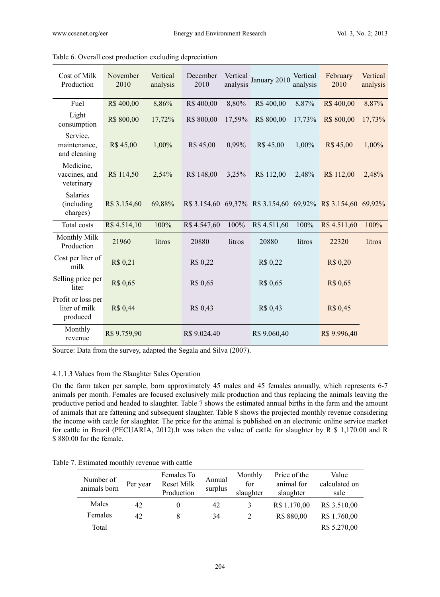| Cost of Milk<br>Production                      | November<br>2010 | Vertical<br>analysis | December<br>2010 | Vertical<br>analysis | January 2010                                                | Vertical<br>analysis | February<br>2010 | Vertical<br>analysis |
|-------------------------------------------------|------------------|----------------------|------------------|----------------------|-------------------------------------------------------------|----------------------|------------------|----------------------|
| Fuel                                            | R\$400,00        | 8,86%                | R\$400,00        | 8,80%                | R\$400,00                                                   | 8,87%                | R\$400,00        | 8,87%                |
| Light<br>consumption                            | R\$ 800,00       | 17,72%               | R\$ 800,00       | 17,59%               | R\$ 800,00                                                  | 17,73%               | R\$ 800,00       | 17,73%               |
| Service,<br>maintenance,<br>and cleaning        | R\$45,00         | 1,00%                | R\$45,00         | 0,99%                | R\$ 45,00                                                   | 1,00%                | R\$45,00         | 1,00%                |
| Medicine,<br>vaccines, and<br>veterinary        | R\$ 114,50       | 2,54%                | R\$ 148,00       | 3,25%                | R\$ 112,00                                                  | 2,48%                | R\$ 112,00       | 2,48%                |
| <b>Salaries</b><br>(including)<br>charges)      | R\$ 3.154,60     | 69,88%               |                  |                      | R\$ 3.154,60 69,37% R\$ 3.154,60 69,92% R\$ 3.154,60 69,92% |                      |                  |                      |
| Total costs                                     | R\$4.514,10      | 100%                 | R\$4.547,60      | 100%                 | R\$ 4.511,60                                                | 100%                 | R\$4.511,60      | 100%                 |
| Monthly Milk<br>Production                      | 21960            | litros               | 20880            | litros               | 20880                                                       | litros               | 22320            | litros               |
| Cost per liter of<br>milk                       | R\$ 0,21         |                      | R\$ 0,22         |                      | R\$ 0,22                                                    |                      | R\$ 0,20         |                      |
| Selling price per<br>liter                      | R\$ 0,65         |                      | R\$ 0,65         |                      | R\$ 0,65                                                    |                      | R\$ 0,65         |                      |
| Profit or loss per<br>liter of milk<br>produced | R\$ 0,44         |                      | R\$ 0,43         |                      | R\$ 0,43                                                    |                      | R\$ 0,45         |                      |
| Monthly<br>revenue                              | R\$ 9.759,90     |                      | R\$ 9.024,40     |                      | R\$ 9.060,40                                                |                      | R\$ 9.996,40     |                      |

Table 6. Overall cost production excluding depreciation

Source: Data from the survey, adapted the Segala and Silva (2007).

## 4.1.1.3 Values from the Slaughter Sales Operation

On the farm taken per sample, born approximately 45 males and 45 females annually, which represents 6-7 animals per month. Females are focused exclusively milk production and thus replacing the animals leaving the productive period and headed to slaughter. Table 7 shows the estimated annual births in the farm and the amount of animals that are fattening and subsequent slaughter. Table 8 shows the projected monthly revenue considering the income with cattle for slaughter. The price for the animal is published on an electronic online service market for cattle in Brazil (PECUARIA, 2012).It was taken the value of cattle for slaughter by R \$ 1,170.00 and R \$ 880.00 for the female.

Table 7. Estimated monthly revenue with cattle

| Number of<br>animals born | Per year | Females To<br><b>Reset Milk</b><br>Production | Annual<br>surplus | Monthly<br>for<br>slaughter | Price of the<br>animal for<br>slaughter | Value<br>calculated on<br>sale |
|---------------------------|----------|-----------------------------------------------|-------------------|-----------------------------|-----------------------------------------|--------------------------------|
| Males                     | 42       |                                               | 42                | 3                           | R\$ 1.170,00                            | R\$ 3.510,00                   |
| Females                   | 42       |                                               | 34                | 2                           | R\$ 880,00                              | R\$ 1.760,00                   |
| Total                     |          |                                               |                   |                             |                                         | R\$ 5.270,00                   |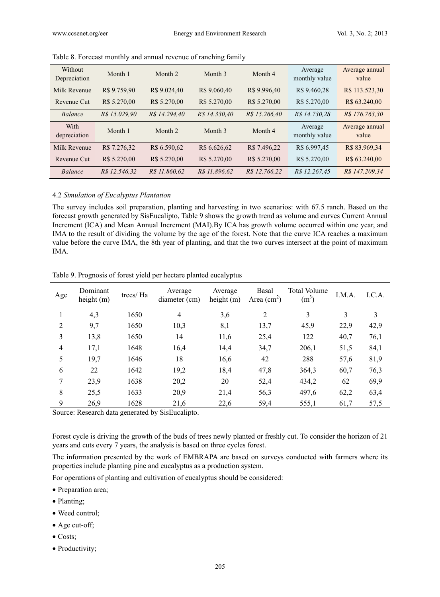| Without<br>Depreciation | Month 1       | Month 2       | Month 3       | Month 4       | Average<br>monthly value | Average annual<br>value |
|-------------------------|---------------|---------------|---------------|---------------|--------------------------|-------------------------|
| Milk Revenue            | R\$ 9.759,90  | R\$ 9.024,40  | R\$ 9.060,40  | R\$ 9.996,40  | R\$ 9.460,28             | R\$ 113.523,30          |
| Revenue Cut             | R\$ 5.270,00  | R\$ 5.270,00  | R\$ 5.270,00  | R\$ 5.270,00  | R\$ 5.270,00             | R\$ 63.240,00           |
| <b>Balance</b>          | R\$ 15.029,90 | R\$ 14.294,40 | R\$ 14.330,40 | R\$ 15.266.40 | R\$ 14.730.28            | R\$ 176.763,30          |
|                         |               |               |               |               |                          |                         |
| With<br>depreciation    | Month 1       | Month 2       | Month 3       | Month 4       | Average<br>monthly value | Average annual<br>value |
| Milk Revenue            | R\$ 7.276,32  | R\$ 6.590,62  | R\$ 6.626,62  | R\$ 7.496,22  | R\$ 6.997,45             | R\$ 83.969,34           |
| Revenue Cut             | R\$ 5.270,00  | R\$ 5.270,00  | R\$ 5.270,00  | R\$ 5.270,00  | R\$ 5.270,00             | R\$ 63.240,00           |

Table 8. Forecast monthly and annual revenue of ranching family

#### 4.2 *Simulation of Eucalyptus Plantation*

The survey includes soil preparation, planting and harvesting in two scenarios: with 67.5 ranch. Based on the forecast growth generated by SisEucalipto, Table 9 shows the growth trend as volume and curves Current Annual Increment (ICA) and Mean Annual Increment (MAI).By ICA has growth volume occurred within one year, and IMA to the result of dividing the volume by the age of the forest. Note that the curve ICA reaches a maximum value before the curve IMA, the 8th year of planting, and that the two curves intersect at the point of maximum IMA.

| Age            | Dominant<br>height (m) | trees/ Ha | Average<br>diameter (cm) | Average<br>height $(m)$ | Basal<br>Area $\text{cm}^2$ ) | <b>Total Volume</b><br>(m <sup>3</sup> ) | I.M.A. | I.C.A. |
|----------------|------------------------|-----------|--------------------------|-------------------------|-------------------------------|------------------------------------------|--------|--------|
| л.             | 4,3                    | 1650      | $\overline{4}$           | 3,6                     | 2                             | 3                                        | 3      | 3      |
| 2              | 9,7                    | 1650      | 10,3                     | 8,1                     | 13,7                          | 45,9                                     | 22,9   | 42,9   |
| 3              | 13,8                   | 1650      | 14                       | 11,6                    | 25,4                          | 122                                      | 40,7   | 76,1   |
| $\overline{4}$ | 17,1                   | 1648      | 16,4                     | 14,4                    | 34,7                          | 206,1                                    | 51,5   | 84,1   |
| 5              | 19,7                   | 1646      | 18                       | 16,6                    | 42                            | 288                                      | 57,6   | 81,9   |
| 6              | 22                     | 1642      | 19,2                     | 18,4                    | 47,8                          | 364,3                                    | 60,7   | 76,3   |
| 7              | 23,9                   | 1638      | 20,2                     | 20                      | 52,4                          | 434,2                                    | 62     | 69,9   |
| 8              | 25,5                   | 1633      | 20,9                     | 21,4                    | 56,3                          | 497,6                                    | 62,2   | 63,4   |
| 9              | 26,9                   | 1628      | 21,6                     | 22,6                    | 59,4                          | 555,1                                    | 61,7   | 57,5   |

Table 9. Prognosis of forest yield per hectare planted eucalyptus

Source: Research data generated by SisEucalipto.

Forest cycle is driving the growth of the buds of trees newly planted or freshly cut. To consider the horizon of 21 years and cuts every 7 years, the analysis is based on three cycles forest.

The information presented by the work of EMBRAPA are based on surveys conducted with farmers where its properties include planting pine and eucalyptus as a production system.

For operations of planting and cultivation of eucalyptus should be considered:

- Preparation area;
- Planting;
- Weed control;
- Age cut-off;
- Costs;
- Productivity;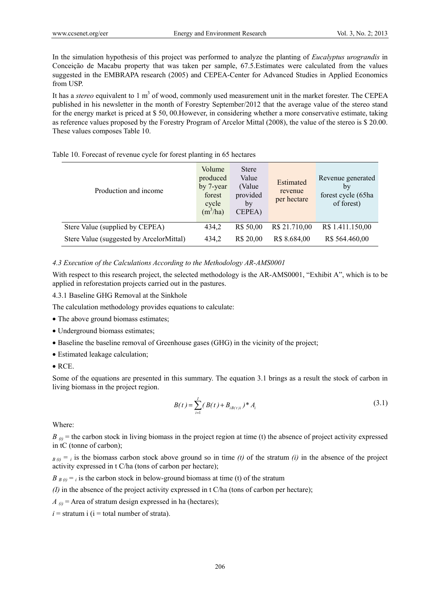In the simulation hypothesis of this project was performed to analyze the planting of *Eucalyptus urograndis* in Conceição de Macabu property that was taken per sample, 67.5.Estimates were calculated from the values suggested in the EMBRAPA research (2005) and CEPEA-Center for Advanced Studies in Applied Economics from USP.

It has a *stereo* equivalent to 1 m<sup>3</sup> of wood, commonly used measurement unit in the market forester. The CEPEA published in his newsletter in the month of Forestry September/2012 that the average value of the stereo stand for the energy market is priced at \$ 50, 00.However, in considering whether a more conservative estimate, taking as reference values proposed by the Forestry Program of Arcelor Mittal (2008), the value of the stereo is \$ 20.00. These values composes Table 10.

| Production and income                    | Volume<br>produced<br>by 7-year<br>forest<br>cycle<br>$(m^3/ha)$ | <b>Stere</b><br>Value<br>(Value)<br>provided<br>by<br>CEPEA) | Estimated<br>revenue<br>per hectare | Revenue generated<br>by<br>forest cycle (65ha<br>of forest) |
|------------------------------------------|------------------------------------------------------------------|--------------------------------------------------------------|-------------------------------------|-------------------------------------------------------------|
| Stere Value (supplied by CEPEA)          | 434,2                                                            | R\$ 50,00                                                    | R\$ 21.710,00                       | R\$ 1.411.150,00                                            |
| Stere Value (suggested by ArcelorMittal) | 434,2                                                            | R\$ 20,00                                                    | R\$ 8.684,00                        | R\$ 564.460,00                                              |

Table 10. Forecast of revenue cycle for forest planting in 65 hectares

#### *4.3 Execution of the Calculations According to the Methodology AR-AMS0001*

With respect to this research project, the selected methodology is the AR-AMS0001, "Exhibit A", which is to be applied in reforestation projects carried out in the pastures.

4.3.1 Baseline GHG Removal at the Sinkhole

The calculation methodology provides equations to calculate:

- The above ground biomass estimates;
- Underground biomass estimates;
- Baseline the baseline removal of Greenhouse gases (GHG) in the vicinity of the project;
- Estimated leakage calculation;
- RCE.

Some of the equations are presented in this summary. The equation 3.1 brings as a result the stock of carbon in living biomass in the project region.

$$
B(t) = \sum_{i=1}^{I} (B(t) + B_{i(t)i})^* A_i
$$
\n(3.1)

Where:

 $B_{\theta}$  = the carbon stock in living biomass in the project region at time (t) the absence of project activity expressed in tC (tonne of carbon);

 $B(t) = i$  is the biomass carbon stock above ground so in time *(t)* of the stratum *(i)* in the absence of the project activity expressed in t C/ha (tons of carbon per hectare);

 $B_{B(t)} = i$  is the carbon stock in below-ground biomass at time (t) of the stratum

*(I)* in the absence of the project activity expressed in t C/ha (tons of carbon per hectare);

 $A_{\hat{\mu}}$  = Area of stratum design expressed in ha (hectares);

 $i =$  stratum i ( $i =$  total number of strata).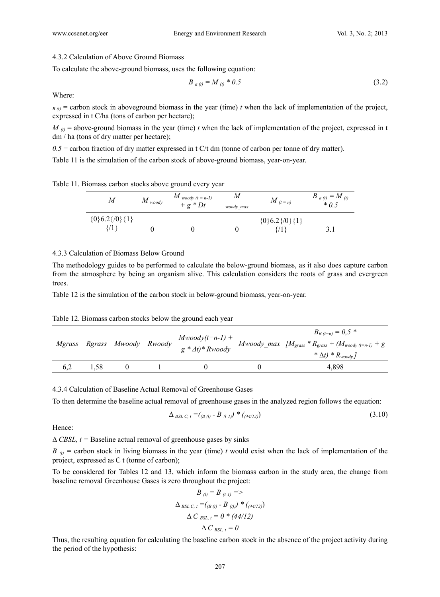## 4.3.2 Calculation of Above Ground Biomass

To calculate the above-ground biomass, uses the following equation:

$$
B_{a(t)} = M_{(t)} * 0.5 \tag{3.2}
$$

Where:

 $B_{\theta}$  = carbon stock in aboveground biomass in the year (time) *t* when the lack of implementation of the project, expressed in t C/ha (tons of carbon per hectare);

 $M_{\theta}$  = above-ground biomass in the year (time) *t* when the lack of implementation of the project, expressed in t dm / ha (tons of dry matter per hectare);

 $0.5$  = carbon fraction of dry matter expressed in t C/t dm (tonne of carbon per tonne of dry matter).

Table 11 is the simulation of the carbon stock of above-ground biomass, year-on-year.

| M                         | $M$ <sub>woody</sub> | $M$ woody (t = n-1)<br>$+ g * Dt$ | M<br>woody max | $M$ <sub>(t = n)</sub>             | $B_{a(t)} = M_{(t)}$<br>$* 0.5$ |
|---------------------------|----------------------|-----------------------------------|----------------|------------------------------------|---------------------------------|
| ${0,6.2}$ {0} {1}<br>{/1} |                      |                                   |                | $\{0\}$ 6.2 $\{0\}$ $\{1\}$<br>91} |                                 |

#### 4.3.3 Calculation of Biomass Below Ground

The methodology guides to be performed to calculate the below-ground biomass, as it also does capture carbon from the atmosphere by being an organism alive. This calculation considers the roots of grass and evergreen trees.

Table 12 is the simulation of the carbon stock in below-ground biomass, year-on-year.

Table 12. Biomass carbon stocks below the ground each year

|     |      | Mgrass Rgrass Mwoody Rwoody |  | $B_{B(t=n)} = 0.5$ *<br>Mwoody(t=n-1) + $M_{\text{woody\_max}}$ $[M_{\text{grass}} * R_{\text{grass}} + (M_{\text{woody\_t-1}}) + g$<br>g * $\Delta t$ )* Rwoody $M_{\text{woody\_max}}$<br>$*\Delta t$ $*$ $R_{woodv}$ |
|-----|------|-----------------------------|--|-------------------------------------------------------------------------------------------------------------------------------------------------------------------------------------------------------------------------|
| 6.2 | 1.58 |                             |  | 4.898                                                                                                                                                                                                                   |

#### 4.3.4 Calculation of Baseline Actual Removal of Greenhouse Gases

To then determine the baseline actual removal of greenhouse gases in the analyzed region follows the equation:

$$
\Delta_{BSL\ C,\ t} = (B(t) - B(t-1)) * (A(t-1))
$$
\n(3.10)

Hence:

Δ *CBSL, t =* Baseline actual removal of greenhouse gases by sinks

 $B_{\alpha}$  = carbon stock in living biomass in the year (time) *t* would exist when the lack of implementation of the project, expressed as C t (tonne of carbon);

To be considered for Tables 12 and 13, which inform the biomass carbon in the study area, the change from baseline removal Greenhouse Gases is zero throughout the project:

$$
B_{(i)} = B_{(i-1)} =>
$$
  
\n
$$
\Delta_{BSL \ C, t} = (B_{(i)} - B_{(i)}) * (A_{(i-1)})
$$
  
\n
$$
\Delta C_{BSL, t} = 0 * (44/12)
$$
  
\n
$$
\Delta C_{BSL, t} = 0
$$

Thus, the resulting equation for calculating the baseline carbon stock in the absence of the project activity during the period of the hypothesis: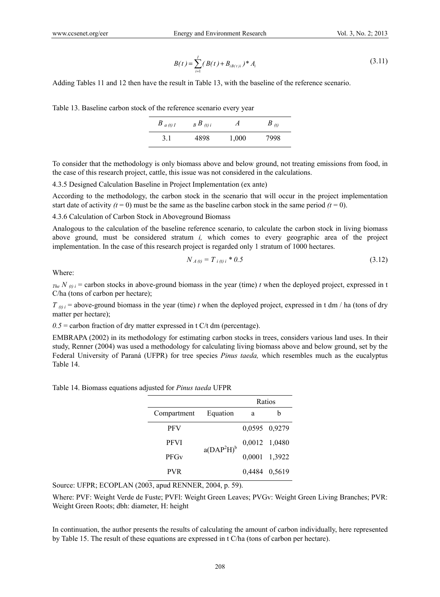$$
B(t) = \sum_{i=1}^{I} (B(t) + B_{i(t)i})^* A_i
$$
\n(3.11)

Adding Tables 11 and 12 then have the result in Table 13, with the baseline of the reference scenario.

|  |  |  |  |  |  |  |  |  | Table 13. Baseline carbon stock of the reference scenario every year |
|--|--|--|--|--|--|--|--|--|----------------------------------------------------------------------|
|--|--|--|--|--|--|--|--|--|----------------------------------------------------------------------|

| $B_{a(t)I}$ | $B B_{(t)i}$ | А     | $B_{(t)}$ |
|-------------|--------------|-------|-----------|
| 3.1         | 4898         | 1,000 | 7998      |

To consider that the methodology is only biomass above and below ground, not treating emissions from food, in the case of this research project, cattle, this issue was not considered in the calculations.

4.3.5 Designed Calculation Baseline in Project Implementation (ex ante)

According to the methodology, the carbon stock in the scenario that will occur in the project implementation start date of activity  $(t = 0)$  must be the same as the baseline carbon stock in the same period  $(t = 0)$ .

4.3.6 Calculation of Carbon Stock in Aboveground Biomass

Analogous to the calculation of the baseline reference scenario, to calculate the carbon stock in living biomass above ground, must be considered stratum *i,* which comes to every geographic area of the project implementation. In the case of this research project is regarded only 1 stratum of 1000 hectares.

$$
N_{A(t)} = T_{i(t)i} * 0.5 \tag{3.12}
$$

Where:

 $T_{the} N_{(t)i}$  = carbon stocks in above-ground biomass in the year (time) *t* when the deployed project, expressed in t C/ha (tons of carbon per hectare);

 $T_{(t)i}$  = above-ground biomass in the year (time) *t* when the deployed project, expressed in t dm / ha (tons of dry matter per hectare);

 $0.5$  = carbon fraction of dry matter expressed in t C/t dm (percentage).

EMBRAPA (2002) in its methodology for estimating carbon stocks in trees, considers various land uses. In their study, Renner (2004) was used a methodology for calculating living biomass above and below ground, set by the Federal University of Paraná (UFPR) for tree species *Pinus taeda,* which resembles much as the eucalyptus Table 14.

Table 14. Biomass equations adjusted for *Pinus taeda* UFPR

|             |               |               | Ratios        |
|-------------|---------------|---------------|---------------|
| Compartment | Equation      | a             | h             |
| <b>PFV</b>  |               | 0,0595 0,9279 |               |
| <b>PFVI</b> | $a(DAP^2H)^b$ |               | 0,0012 1,0480 |
| <b>PFGv</b> |               |               | 0,0001 1,3922 |
| <b>PVR</b>  |               | 0,4484 0,5619 |               |

Source: UFPR; ECOPLAN (2003, apud RENNER, 2004, p. 59).

Where: PVF: Weight Verde de Fuste; PVFl: Weight Green Leaves; PVGv: Weight Green Living Branches; PVR: Weight Green Roots; dbh: diameter, H: height

In continuation, the author presents the results of calculating the amount of carbon individually, here represented by Table 15. The result of these equations are expressed in t C/ha (tons of carbon per hectare).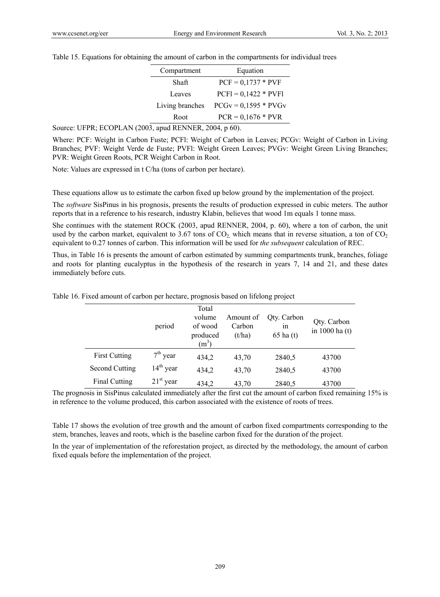Table 15. Equations for obtaining the amount of carbon in the compartments for individual trees

| Compartment     | Equation               |
|-----------------|------------------------|
| Shaft           | $PCF = 0.1737 * PVF$   |
| Leaves          | $PCF1 = 0,1422 * PVF1$ |
| Living branches | $PCGv = 0,1595 * PVGv$ |
| Root            | $PCR = 0.1676 * PVR$   |

Source: UFPR; ECOPLAN (2003, apud RENNER, 2004, p 60).

Where: PCF: Weight in Carbon Fuste; PCFl: Weight of Carbon in Leaves; PCGv: Weight of Carbon in Living Branches; PVF: Weight Verde de Fuste; PVFl: Weight Green Leaves; PVGv: Weight Green Living Branches; PVR: Weight Green Roots, PCR Weight Carbon in Root.

Note: Values are expressed in t C/ha (tons of carbon per hectare).

These equations allow us to estimate the carbon fixed up below ground by the implementation of the project.

The *software* SisPinus in his prognosis, presents the results of production expressed in cubic meters. The author reports that in a reference to his research, industry Klabin, believes that wood 1m equals 1 tonne mass.

She continues with the statement ROCK (2003, apud RENNER, 2004, p. 60), where a ton of carbon, the unit used by the carbon market, equivalent to 3.67 tons of  $CO<sub>2</sub>$ , which means that in reverse situation, a ton of  $CO<sub>2</sub>$ equivalent to 0.27 tonnes of carbon. This information will be used for *the subsequent* calculation of REC.

Thus, in Table 16 is presents the amount of carbon estimated by summing compartments trunk, branches, foliage and roots for planting eucalyptus in the hypothesis of the research in years 7, 14 and 21, and these dates immediately before cuts.

| Table 16. Fixed amount of carbon per hectare, prognosis based on lifelong project |  |  |  |  |  |  |  |  |  |
|-----------------------------------------------------------------------------------|--|--|--|--|--|--|--|--|--|
|-----------------------------------------------------------------------------------|--|--|--|--|--|--|--|--|--|

|                       | period      | Total<br>volume<br>of wood<br>produced<br>$(m^3)$ | Amount of<br>Carbon<br>(t/ha) | Qty. Carbon<br><sub>1</sub> n<br>$65$ ha $(t)$ | Qty. Carbon<br>in 1000 ha (t) |
|-----------------------|-------------|---------------------------------------------------|-------------------------------|------------------------------------------------|-------------------------------|
| <b>First Cutting</b>  | $7th$ year  | 434,2                                             | 43,70                         | 2840,5                                         | 43700                         |
| <b>Second Cutting</b> | $14th$ year | 434,2                                             | 43,70                         | 2840,5                                         | 43700                         |
| <b>Final Cutting</b>  | $21st$ year | 434,2                                             | 43,70                         | 2840,5                                         | 43700                         |

The prognosis in SisPinus calculated immediately after the first cut the amount of carbon fixed remaining 15% is in reference to the volume produced, this carbon associated with the existence of roots of trees.

Table 17 shows the evolution of tree growth and the amount of carbon fixed compartments corresponding to the stem, branches, leaves and roots, which is the baseline carbon fixed for the duration of the project.

In the year of implementation of the reforestation project, as directed by the methodology, the amount of carbon fixed equals before the implementation of the project.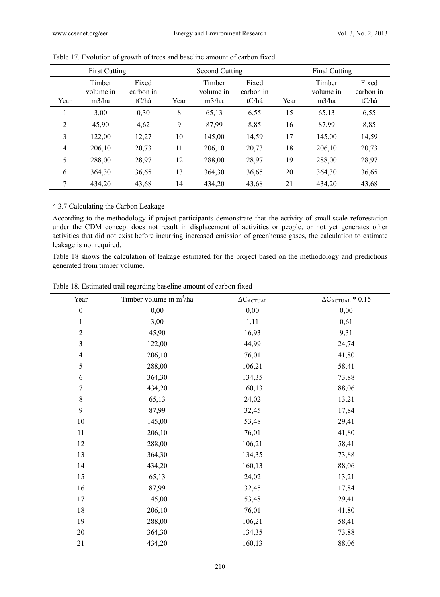| <b>First Cutting</b> |                              |                             |      | Second Cutting               |                             |      | Final Cutting                |                             |  |
|----------------------|------------------------------|-----------------------------|------|------------------------------|-----------------------------|------|------------------------------|-----------------------------|--|
| Year                 | Timber<br>volume in<br>m3/ha | Fixed<br>carbon in<br>tC/há | Year | Timber<br>volume in<br>m3/ha | Fixed<br>carbon in<br>tC/há | Year | Timber<br>volume in<br>m3/ha | Fixed<br>carbon in<br>tC/há |  |
|                      | 3,00                         | 0,30                        | 8    | 65,13                        | 6,55                        | 15   | 65,13                        | 6,55                        |  |
| $\overline{2}$       | 45,90                        | 4,62                        | 9    | 87,99                        | 8,85                        | 16   | 87,99                        | 8,85                        |  |
| 3                    | 122,00                       | 12,27                       | 10   | 145,00                       | 14,59                       | 17   | 145,00                       | 14,59                       |  |
| 4                    | 206,10                       | 20,73                       | 11   | 206,10                       | 20,73                       | 18   | 206,10                       | 20,73                       |  |
| 5                    | 288,00                       | 28,97                       | 12   | 288,00                       | 28,97                       | 19   | 288,00                       | 28,97                       |  |
| 6                    | 364,30                       | 36,65                       | 13   | 364,30                       | 36,65                       | 20   | 364,30                       | 36,65                       |  |
| 7                    | 434,20                       | 43,68                       | 14   | 434,20                       | 43,68                       | 21   | 434,20                       | 43,68                       |  |

|  |  |  | Table 17. Evolution of growth of trees and baseline amount of carbon fixed |
|--|--|--|----------------------------------------------------------------------------|
|  |  |  |                                                                            |

# 4.3.7 Calculating the Carbon Leakage

According to the methodology if project participants demonstrate that the activity of small-scale reforestation under the CDM concept does not result in displacement of activities or people, or not yet generates other activities that did not exist before incurring increased emission of greenhouse gases, the calculation to estimate leakage is not required.

Table 18 shows the calculation of leakage estimated for the project based on the methodology and predictions generated from timber volume.

| Year             | Timber volume in $m^3/ha$ | $\Delta C_{ACTUAL}$ | $\Delta C_{\text{ACTUAL}} * 0.15$ |
|------------------|---------------------------|---------------------|-----------------------------------|
| $\boldsymbol{0}$ | 0,00                      | 0,00                | 0,00                              |
| $\mathbf{1}$     | 3,00                      | 1,11                | 0,61                              |
| $\sqrt{2}$       | 45,90                     | 16,93               | 9,31                              |
| $\mathfrak{Z}$   | 122,00                    | 44,99               | 24,74                             |
| $\overline{4}$   | 206,10                    | 76,01               | 41,80                             |
| 5                | 288,00                    | 106,21              | 58,41                             |
| 6                | 364,30                    | 134,35              | 73,88                             |
| $\boldsymbol{7}$ | 434,20                    | 160,13              | 88,06                             |
| $\,8\,$          | 65,13                     | 24,02               | 13,21                             |
| 9                | 87,99                     | 32,45               | 17,84                             |
| $10\,$           | 145,00                    | 53,48               | 29,41                             |
| $11\,$           | 206,10                    | 76,01               | 41,80                             |
| 12               | 288,00                    | 106,21              | 58,41                             |
| 13               | 364,30                    | 134,35              | 73,88                             |
| 14               | 434,20                    | 160,13              | 88,06                             |
| 15               | 65,13                     | 24,02               | 13,21                             |
| 16               | 87,99                     | 32,45               | 17,84                             |
| 17               | 145,00                    | 53,48               | 29,41                             |
| 18               | 206,10                    | 76,01               | 41,80                             |
| 19               | 288,00                    | 106,21              | 58,41                             |
| $20\,$           | 364,30                    | 134,35              | 73,88                             |
| $21\,$           | 434,20                    | 160,13              | 88,06                             |

Table 18. Estimated trail regarding baseline amount of carbon fixed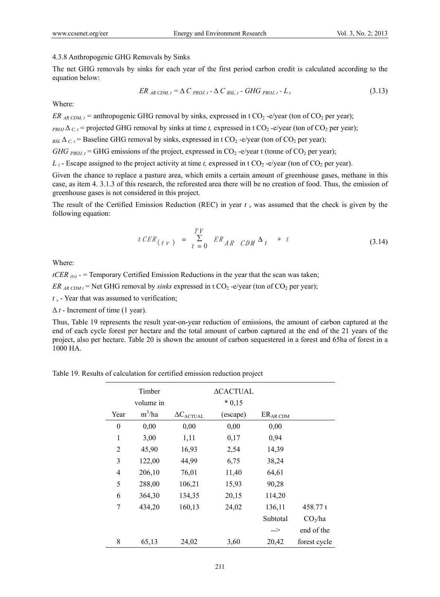#### 4.3.8 Anthropogenic GHG Removals by Sinks

The net GHG removals by sinks for each year of the first period carbon credit is calculated according to the equation below:

$$
ER_{AR\text{CDM},t} = \Delta C_{PROJ,t} - \Delta C_{BSL,t} - GHG_{PROJ,t} - L_t
$$
\n(3.13)

Where:

*ER*  $_{ARCDM,t}$  = anthropogenic GHG removal by sinks, expressed in t CO<sub>2</sub> -e/year (ton of CO<sub>2</sub> per year);

 $_{PROI}\Delta_{C,t}$  = projected GHG removal by sinks at time *t*, expressed in t CO<sub>2</sub> -e/year (ton of CO<sub>2</sub> per year);

 $_{BSL}\Delta$ <sub>C, t</sub> = Baseline GHG removal by sinks, expressed in t CO<sub>2</sub> -e/year (ton of CO<sub>2</sub> per year);

*GHG*  $_{PROJ,t}$  = GHG emissions of the project, expressed in CO<sub>2</sub> -e/year t (tonne of CO<sub>2</sub> per year);

 $L_t$  - Escape assigned to the project activity at time *t*, expressed in t CO<sub>2</sub> -e/year (ton of CO<sub>2</sub> per year).

Given the chance to replace a pasture area, which emits a certain amount of greenhouse gases, methane in this case, as item 4. 3.1.3 of this research, the reforested area there will be no creation of food. Thus, the emission of greenhouse gases is not considered in this project.

The result of the Certified Emission Reduction (REC) in year  $t<sub>y</sub>$  was assumed that the check is given by the following equation:

$$
t \, CER_{(t \, v)} = \sum_{t=0}^{TV} ER_{AR} \, CDM \Delta_t * t \qquad (3.14)
$$

Where:

*tCER*  $_{(tv)}$  - = Temporary Certified Emission Reductions in the year that the scan was taken;

*ER*  $_{AR\text{CDM}t}$  = Net GHG removal by *sinks* expressed in t CO<sub>2</sub> -e/year (ton of CO<sub>2</sub> per year);

*t <sup>v</sup>* - Year that was assumed to verification;

 $\Delta t$  - Increment of time (1 year).

Thus, Table 19 represents the result year-on-year reduction of emissions, the amount of carbon captured at the end of each cycle forest per hectare and the total amount of carbon captured at the end of the 21 years of the project, also per hectare. Table 20 is shown the amount of carbon sequestered in a forest and 65ha of forest in a 1000 HA.

Table 19. Results of calculation for certified emission reduction project

|                | Timber    |                         | <b>ACACTUAL</b> |                      |                     |
|----------------|-----------|-------------------------|-----------------|----------------------|---------------------|
|                | volume in |                         | $*0,15$         |                      |                     |
| Year           | $m^3/ha$  | $\Delta C_{\rm ACTUAL}$ | (escape)        | ER <sub>AR</sub> CDM |                     |
| $\overline{0}$ | 0,00      | 0,00                    | 0,00            | 0,00                 |                     |
| 1              | 3,00      | 1,11                    | 0,17            | 0,94                 |                     |
| 2              | 45,90     | 16,93                   | 2,54            | 14,39                |                     |
| 3              | 122,00    | 44,99                   | 6,75            | 38,24                |                     |
| 4              | 206,10    | 76,01                   | 11,40           | 64,61                |                     |
| 5              | 288,00    | 106,21                  | 15,93           | 90,28                |                     |
| 6              | 364,30    | 134,35                  | 20,15           | 114,20               |                     |
| 7              | 434,20    | 160,13                  | 24,02           | 136,11               | 458.77 t            |
|                |           |                         |                 | Subtotal             | CO <sub>2</sub> /ha |
|                |           |                         |                 | $\Rightarrow$        | end of the          |
| 8              | 65,13     | 24,02                   | 3,60            | 20,42                | forest cycle        |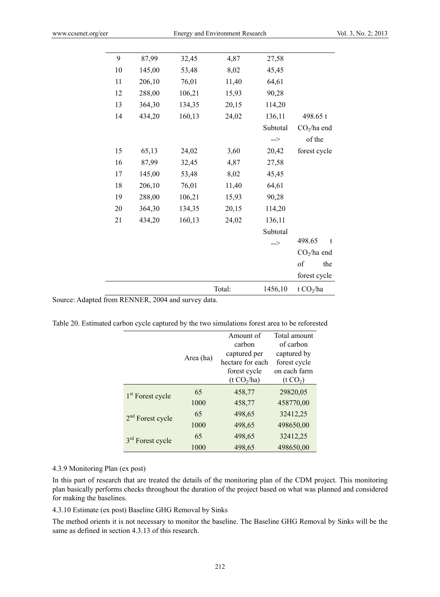| 9  | 87,99  | 32,45  | 4,87   | 27,58                 |              |  |  |  |  |
|----|--------|--------|--------|-----------------------|--------------|--|--|--|--|
| 10 | 145,00 | 53,48  | 8,02   | 45,45                 |              |  |  |  |  |
| 11 | 206,10 | 76,01  | 11,40  | 64,61                 |              |  |  |  |  |
| 12 | 288,00 | 106,21 | 15,93  | 90,28                 |              |  |  |  |  |
| 13 | 364,30 | 134,35 | 20,15  | 114,20                |              |  |  |  |  |
| 14 | 434,20 | 160,13 | 24,02  | 136,11                | 498.65 t     |  |  |  |  |
|    |        |        |        | Subtotal              | $CO2/ha$ end |  |  |  |  |
|    |        |        |        | $\Rightarrow$         | of the       |  |  |  |  |
| 15 | 65,13  | 24,02  | 3,60   | 20,42                 | forest cycle |  |  |  |  |
| 16 | 87,99  | 32,45  | 4,87   | 27,58                 |              |  |  |  |  |
| 17 | 145,00 | 53,48  | 8,02   | 45,45                 |              |  |  |  |  |
| 18 | 206,10 | 76,01  | 11,40  | 64,61                 |              |  |  |  |  |
| 19 | 288,00 | 106,21 | 15,93  | 90,28                 |              |  |  |  |  |
| 20 | 364,30 | 134,35 | 20,15  | 114,20                |              |  |  |  |  |
| 21 | 434,20 | 160,13 | 24,02  | 136,11                |              |  |  |  |  |
|    |        |        |        | Subtotal              |              |  |  |  |  |
|    |        |        |        | $\Rightarrow$         | 498.65<br>t  |  |  |  |  |
|    |        |        |        |                       | $CO2/ha$ end |  |  |  |  |
|    |        |        |        |                       | of<br>the    |  |  |  |  |
|    |        |        |        |                       | forest cycle |  |  |  |  |
|    |        |        | Total: | t $CO2/ha$<br>1456,10 |              |  |  |  |  |

Source: Adapted from RENNER, 2004 and survey data.

Table 20. Estimated carbon cycle captured by the two simulations forest area to be reforested

|                              | Area (ha) | Amount of<br>carbon<br>captured per<br>hectare for each<br>forest cycle<br>(t CO <sub>2</sub> /ha) | Total amount<br>of carbon<br>captured by<br>forest cycle<br>on each farm<br>(t CO <sub>2</sub> ) |  |  |  |  |
|------------------------------|-----------|----------------------------------------------------------------------------------------------------|--------------------------------------------------------------------------------------------------|--|--|--|--|
| 1 <sup>st</sup> Forest cycle | 65        | 458,77                                                                                             | 29820,05                                                                                         |  |  |  |  |
|                              | 1000      | 458,77                                                                                             | 458770,00                                                                                        |  |  |  |  |
| $2nd$ Forest cycle           | 65        | 498,65                                                                                             | 32412,25                                                                                         |  |  |  |  |
|                              | 1000      | 498,65                                                                                             | 498650,00                                                                                        |  |  |  |  |
| 3 <sup>rd</sup> Forest cycle | 65        | 498,65                                                                                             | 32412,25                                                                                         |  |  |  |  |
|                              | 1000      | 498,65                                                                                             | 498650,00                                                                                        |  |  |  |  |

## 4.3.9 Monitoring Plan (ex post)

In this part of research that are treated the details of the monitoring plan of the CDM project. This monitoring plan basically performs checks throughout the duration of the project based on what was planned and considered for making the baselines.

4.3.10 Estimate (ex post) Baseline GHG Removal by Sinks

The method orients it is not necessary to monitor the baseline. The Baseline GHG Removal by Sinks will be the same as defined in section 4.3.13 of this research.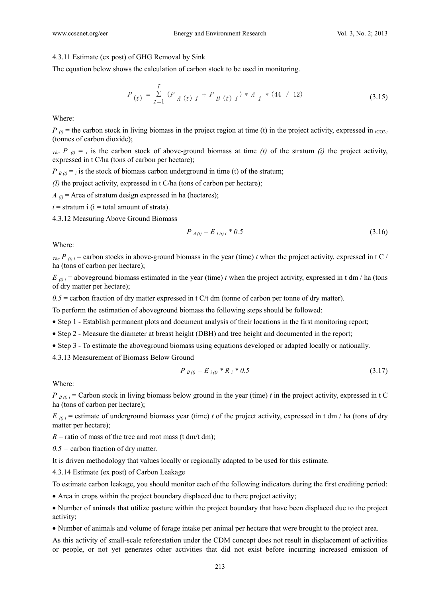## 4.3.11 Estimate (ex post) of GHG Removal by Sink

The equation below shows the calculation of carbon stock to be used in monitoring.

$$
P_{(t)} = \sum_{i=1}^{I} (P_{A(t) i} + P_{B(t) i}) * A_{i} * (44 / 12)
$$
 (3.15)

Where:

 $P_{\theta}$  = the carbon stock in living biomass in the project region at time (t) in the project activity, expressed in <sub>tCO2e</sub> (tonnes of carbon dioxide);

 $T_{the}$  *P*  $_{(t)} =$  *i* is the carbon stock of above-ground biomass at time *(t)* of the stratum *(i)* the project activity, expressed in t C/ha (tons of carbon per hectare);

 $P_{B(t)} = i$  is the stock of biomass carbon underground in time (t) of the stratum;

*(I)* the project activity, expressed in t C/ha (tons of carbon per hectare);

 $A_{(i)}$  = Area of stratum design expressed in ha (hectares);

 $i =$  stratum i ( $i =$  total amount of strata).

4.3.12 Measuring Above Ground Biomass

$$
P_{A(t)} = E_{i(t)i} * 0.5 \tag{3.16}
$$

Where:

 $T_{the}P_{(t)i}$  = carbon stocks in above-ground biomass in the year (time) *t* when the project activity, expressed in t C / ha (tons of carbon per hectare);

 $E_{(t)}$  i = aboveground biomass estimated in the year (time) *t* when the project activity, expressed in t dm / ha (tons of dry matter per hectare);

*0.5* = carbon fraction of dry matter expressed in t C/t dm (tonne of carbon per tonne of dry matter).

To perform the estimation of aboveground biomass the following steps should be followed:

- Step 1 Establish permanent plots and document analysis of their locations in the first monitoring report;
- Step 2 Measure the diameter at breast height (DBH) and tree height and documented in the report;
- Step 3 To estimate the aboveground biomass using equations developed or adapted locally or nationally.

4.3.13 Measurement of Biomass Below Ground

$$
P_{B(t)} = E_{i(t)} * R_i * 0.5 \tag{3.17}
$$

Where:

 $P_{B(0)i}$  = Carbon stock in living biomass below ground in the year (time) *t* in the project activity, expressed in t C ha (tons of carbon per hectare);

 $E_{(t)}$  i = estimate of underground biomass year (time) *t* of the project activity, expressed in t dm / ha (tons of dry matter per hectare);

 $R =$  ratio of mass of the tree and root mass (t dm/t dm);

*0.5 =* carbon fraction of dry matter.

It is driven methodology that values locally or regionally adapted to be used for this estimate.

4.3.14 Estimate (ex post) of Carbon Leakage

To estimate carbon leakage, you should monitor each of the following indicators during the first crediting period:

Area in crops within the project boundary displaced due to there project activity;

 Number of animals that utilize pasture within the project boundary that have been displaced due to the project activity;

Number of animals and volume of forage intake per animal per hectare that were brought to the project area.

As this activity of small-scale reforestation under the CDM concept does not result in displacement of activities or people, or not yet generates other activities that did not exist before incurring increased emission of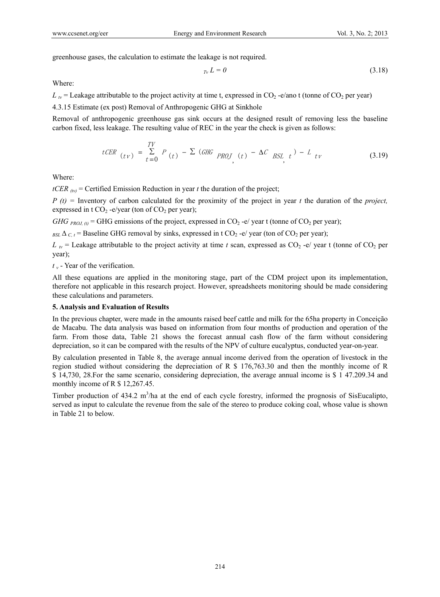greenhouse gases, the calculation to estimate the leakage is not required.

$$
T_V L = 0 \tag{3.18}
$$

Where:

 $L<sub>v</sub>$  = Leakage attributable to the project activity at time t, expressed in CO<sub>2</sub> -e/ano t (tonne of CO<sub>2</sub> per year)

4.3.15 Estimate (ex post) Removal of Anthropogenic GHG at Sinkhole

Removal of anthropogenic greenhouse gas sink occurs at the designed result of removing less the baseline carbon fixed, less leakage. The resulting value of REC in the year the check is given as follows:

$$
tCER_{(tv)} = \sum_{t=0}^{TV} P_{(t)} - \sum (GHG_{PROJ_{(t)}} - \Delta C_{BSL_{(t)}}) - L_{tv}
$$
\n(3.19)

Where:

*tCER*  $_{(iv)}$  = Certified Emission Reduction in year *t* the duration of the project;

*P (t) =* Inventory of carbon calculated for the proximity of the project in year *t* the duration of the *project,* expressed in t  $CO_2$  -e/year (ton of  $CO_2$  per year);

*GHG*  $_{PROL,0}$  = GHG emissions of the project, expressed in CO<sub>2</sub> -e/ year t (tonne of CO<sub>2</sub> per year);

 $_{BSL}\Delta$ <sub>C, t</sub> = Baseline GHG removal by sinks, expressed in t CO<sub>2</sub> -e/ year (ton of CO<sub>2</sub> per year);

 $L_{IV}$  = Leakage attributable to the project activity at time *t* scan, expressed as  $CO_2$  -e/ year t (tonne of  $CO_2$  per year);

*t <sup>v</sup>* - Year of the verification.

All these equations are applied in the monitoring stage, part of the CDM project upon its implementation, therefore not applicable in this research project. However, spreadsheets monitoring should be made considering these calculations and parameters.

## **5. Analysis and Evaluation of Results**

In the previous chapter, were made in the amounts raised beef cattle and milk for the 65ha property in Conceição de Macabu. The data analysis was based on information from four months of production and operation of the farm. From those data, Table 21 shows the forecast annual cash flow of the farm without considering depreciation, so it can be compared with the results of the NPV of culture eucalyptus, conducted year-on-year.

By calculation presented in Table 8, the average annual income derived from the operation of livestock in the region studied without considering the depreciation of R \$ 176,763.30 and then the monthly income of R \$ 14,730, 28.For the same scenario, considering depreciation, the average annual income is \$ 1 47.209.34 and monthly income of R \$ 12,267.45.

Timber production of  $434.2 \text{ m}^3/\text{ha}$  at the end of each cycle forestry, informed the prognosis of SisEucalipto, served as input to calculate the revenue from the sale of the stereo to produce coking coal, whose value is shown in Table 21 to below.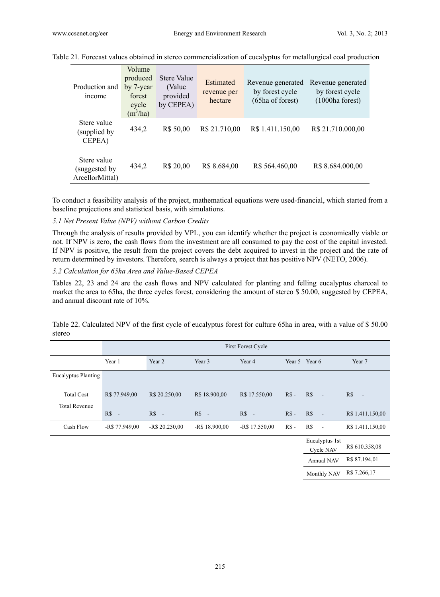| Production and<br>income                       | Volume<br>produced<br>by 7-year<br>forest<br>cycle<br>$(m^3/ha)$ | Stere Value<br>(Value)<br>provided<br>by CEPEA) | Estimated<br>revenue per<br>hectare | Revenue generated<br>by forest cycle<br>(65ha of forest) | Revenue generated<br>by forest cycle<br>(1000ha forest) |
|------------------------------------------------|------------------------------------------------------------------|-------------------------------------------------|-------------------------------------|----------------------------------------------------------|---------------------------------------------------------|
| Stere value<br>(supplied by)<br>CEPEA)         | 434,2                                                            | R\$ 50,00                                       | R\$ 21.710,00                       | R\$ 1.411.150,00                                         | R\$ 21.710.000,00                                       |
| Stere value<br>suggested by<br>ArcellorMittal) | 434,2                                                            | R\$ 20,00                                       | R\$ 8.684,00                        | R\$ 564.460,00                                           | R\$ 8.684.000,00                                        |

Table 21. Forecast values obtained in stereo commercialization of eucalyptus for metallurgical coal production

To conduct a feasibility analysis of the project, mathematical equations were used-financial, which started from a baseline projections and statistical basis, with simulations.

## *5.1 Net Present Value (NPV) without Carbon Credits*

Through the analysis of results provided by VPL, you can identify whether the project is economically viable or not. If NPV is zero, the cash flows from the investment are all consumed to pay the cost of the capital invested. If NPV is positive, the result from the project covers the debt acquired to invest in the project and the rate of return determined by investors. Therefore, search is always a project that has positive NPV (NETO, 2006).

#### *5.2 Calculation for 65ha Area and Value-Based CEPEA*

Tables 22, 23 and 24 are the cash flows and NPV calculated for planting and felling eucalyptus charcoal to market the area to 65ha, the three cycles forest, considering the amount of stereo \$ 50.00, suggested by CEPEA, and annual discount rate of 10%.

|                            |                | First Forest Cycle |                 |                 |        |     |                             |                  |  |  |  |  |  |  |  |
|----------------------------|----------------|--------------------|-----------------|-----------------|--------|-----|-----------------------------|------------------|--|--|--|--|--|--|--|
|                            | Year 1         | Year 5 Year 6      | Year 7          |                 |        |     |                             |                  |  |  |  |  |  |  |  |
|                            |                |                    |                 |                 |        |     |                             |                  |  |  |  |  |  |  |  |
| <b>Eucalyptus Planting</b> |                |                    |                 |                 |        |     |                             |                  |  |  |  |  |  |  |  |
| <b>Total Cost</b>          | R\$ 77.949,00  | R\$ 20.250,00      | R\$ 18.900,00   | R\$ 17.550,00   | $RS -$ | R\$ | $\sim$                      | R\$<br>Te.       |  |  |  |  |  |  |  |
| <b>Total Revenue</b>       |                |                    |                 |                 |        |     |                             |                  |  |  |  |  |  |  |  |
|                            | $RS -$         | $RS -$             | $RS -$          | $RS -$          | $RS -$ | RS  | $\sim$ $\sim$               | R\$ 1.411.150,00 |  |  |  |  |  |  |  |
| Cash Flow                  | $-R$77.949.00$ | $-R$ 20.250.00$    | $-R$ 18.900,00$ | $-R$ 17.550,00$ | $RS -$ | R\$ | $\sim$                      | R\$ 1.411.150,00 |  |  |  |  |  |  |  |
|                            |                |                    |                 |                 |        |     | Eucalyptus 1st<br>Cycle NAV | R\$ 610.358,08   |  |  |  |  |  |  |  |

Table 22. Calculated NPV of the first cycle of eucalyptus forest for culture 65ha in area, with a value of \$ 50.00 stereo

| Eucalyptus 1st<br><b>Cycle NAV</b> | R\$ 610.358,08 |
|------------------------------------|----------------|
| Annual NAV                         | R\$ 87.194,01  |
| Monthly NAV                        | R\$ 7.266,17   |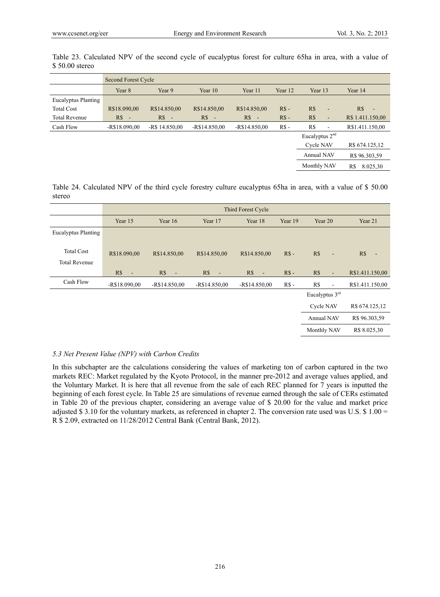|                      |                | Second Forest Cycle              |                |                |         |                                 |                                 |  |  |  |  |  |  |  |
|----------------------|----------------|----------------------------------|----------------|----------------|---------|---------------------------------|---------------------------------|--|--|--|--|--|--|--|
|                      | Year 8         | Year 9                           | Year 10        | Year 11        | Year 12 | Year 13                         | Year 14                         |  |  |  |  |  |  |  |
| Eucalyptus Planting  |                |                                  |                |                |         |                                 |                                 |  |  |  |  |  |  |  |
| <b>Total Cost</b>    | R\$18.090,00   | R\$14.850,00                     | R\$14.850,00   | R\$14.850,00   | $RS -$  | R\$<br>$\overline{\phantom{a}}$ | R\$<br>$\overline{\phantom{a}}$ |  |  |  |  |  |  |  |
| <b>Total Revenue</b> | $R\$<br>$\sim$ | $R\$<br>$\overline{\phantom{a}}$ | $RS -$         | R\$<br>$\sim$  | $RS -$  | R\$<br>$\overline{\phantom{a}}$ | R\$ 1.411.150,00                |  |  |  |  |  |  |  |
| Cash Flow            | $-R$18.090.00$ | $-R$ 14.850,00$                  | $-R$14.850,00$ | $-R$14.850,00$ | $RS -$  | R\$<br>$\overline{\phantom{a}}$ | R\$1.411.150,00                 |  |  |  |  |  |  |  |
|                      |                |                                  |                |                |         | Eucalyptus $2nd$                |                                 |  |  |  |  |  |  |  |
|                      |                |                                  |                |                |         | <b>Cycle NAV</b>                | R\$ 674.125,12                  |  |  |  |  |  |  |  |
|                      |                |                                  |                |                |         | <b>Annual NAV</b>               | R\$ 96.303,59                   |  |  |  |  |  |  |  |
|                      |                |                                  |                |                |         | Monthly NAV                     | 8.025,30<br>R\$                 |  |  |  |  |  |  |  |

Table 23. Calculated NPV of the second cycle of eucalyptus forest for culture 65ha in area, with a value of \$ 50.00 stereo

Table 24. Calculated NPV of the third cycle forestry culture eucalyptus 65ha in area, with a value of \$ 50.00 stereo

|                                           |                       |                                 |                | Third Forest Cycle    |         |                                 |                 |
|-------------------------------------------|-----------------------|---------------------------------|----------------|-----------------------|---------|---------------------------------|-----------------|
|                                           | Year 15               | Year 16                         | Year 17        | Year 18               | Year 19 | Year 20                         | Year 21         |
| <b>Eucalyptus Planting</b>                |                       |                                 |                |                       |         |                                 |                 |
| <b>Total Cost</b><br><b>Total Revenue</b> | R\$18.090,00          | R\$14.850,00                    | R\$14.850,00   | R\$14.850,00          | $RS -$  | R\$<br>$\blacksquare$           | R\$<br>÷,       |
|                                           | R\$<br>$\blacksquare$ | R\$<br>$\overline{\phantom{a}}$ | R\$<br>$\sim$  | R\$<br>$\blacksquare$ | $RS -$  | R\$<br>$\blacksquare$           | R\$1.411.150,00 |
| Cash Flow                                 | $-R$18.090.00$        | $-R$14.850,00$                  | $-R$14.850,00$ | $-R$14.850,00$        | $RS -$  | R\$<br>$\overline{\phantom{a}}$ | R\$1.411.150,00 |
|                                           |                       |                                 |                |                       |         | Eucalyptus $3rd$                |                 |
|                                           |                       |                                 |                |                       |         | <b>Cycle NAV</b>                | R\$ 674.125,12  |
|                                           |                       |                                 |                |                       |         | Annual NAV                      | R\$ 96.303,59   |
|                                           |                       |                                 |                |                       |         | Monthly NAV                     | R\$ 8.025,30    |

## *5.3 Net Present Value (NPV) with Carbon Credits*

In this subchapter are the calculations considering the values of marketing ton of carbon captured in the two markets REC: Market regulated by the Kyoto Protocol, in the manner pre-2012 and average values applied, and the Voluntary Market. It is here that all revenue from the sale of each REC planned for 7 years is inputted the beginning of each forest cycle. In Table 25 are simulations of revenue earned through the sale of CERs estimated in Table 20 of the previous chapter, considering an average value of \$ 20.00 for the value and market price adjusted \$3.10 for the voluntary markets, as referenced in chapter 2. The conversion rate used was U.S.  $\$$  1.00 = R \$ 2.09, extracted on 11/28/2012 Central Bank (Central Bank, 2012).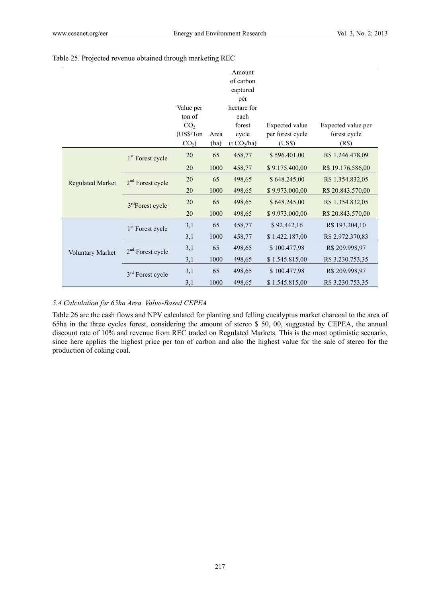|                         |                              |                 |      | Amount                  |                  |                    |
|-------------------------|------------------------------|-----------------|------|-------------------------|------------------|--------------------|
|                         |                              |                 |      | of carbon               |                  |                    |
|                         |                              |                 |      | captured                |                  |                    |
|                         |                              |                 |      | per                     |                  |                    |
|                         |                              | Value per       |      | hectare for             |                  |                    |
|                         |                              | ton of          |      | each                    |                  |                    |
|                         |                              | CO <sub>2</sub> |      | forest                  | Expected value   | Expected value per |
|                         |                              | (US\$/Ton       | Area | cycle                   | per forest cycle | forest cycle       |
|                         |                              | $CO2$ )         | (ha) | (t CO <sub>2</sub> /ha) | (US\$)           | (R\$)              |
|                         | 1 <sup>st</sup> Forest cycle | 20              | 65   | 458,77                  | \$596.401,00     | R\$ 1.246.478,09   |
|                         |                              | 20              | 1000 | 458,77                  | \$9.175.400,00   | R\$ 19.176.586,00  |
| <b>Regulated Market</b> | $2nd$ Forest cycle           | 20              | 65   | 498,65                  | \$648.245,00     | R\$ 1.354.832,05   |
|                         |                              | 20              | 1000 | 498,65                  | \$9.973.000,00   | R\$ 20.843.570,00  |
|                         | 3 <sup>rd</sup> Forest cycle | 20              | 65   | 498,65                  | \$648.245,00     | R\$ 1.354.832,05   |
|                         |                              | 20              | 1000 | 498,65                  | \$9.973.000,00   | R\$ 20.843.570,00  |
|                         | 1 <sup>st</sup> Forest cycle | 3,1             | 65   | 458,77                  | \$92.442,16      | R\$ 193.204,10     |
|                         |                              | 3,1             | 1000 | 458,77                  | \$1.422.187,00   | R\$ 2.972.370,83   |
| Voluntary Market        | $2nd$ Forest cycle           | 3,1             | 65   | 498,65                  | \$100.477,98     | R\$ 209.998,97     |
|                         |                              | 3,1             | 1000 | 498,65                  | \$1.545.815,00   | R\$ 3.230.753,35   |
|                         | 3 <sup>rd</sup> Forest cycle | 3,1             | 65   | 498,65                  | \$100.477,98     | R\$ 209.998,97     |
|                         |                              | 3,1             | 1000 | 498,65                  | \$1.545.815,00   | R\$ 3.230.753,35   |

# Table 25. Projected revenue obtained through marketing REC

# *5.4 Calculation for 65ha Area, Value-Based CEPEA*

Table 26 are the cash flows and NPV calculated for planting and felling eucalyptus market charcoal to the area of 65ha in the three cycles forest, considering the amount of stereo \$ 50, 00, suggested by CEPEA, the annual discount rate of 10% and revenue from REC traded on Regulated Markets. This is the most optimistic scenario, since here applies the highest price per ton of carbon and also the highest value for the sale of stereo for the production of coking coal.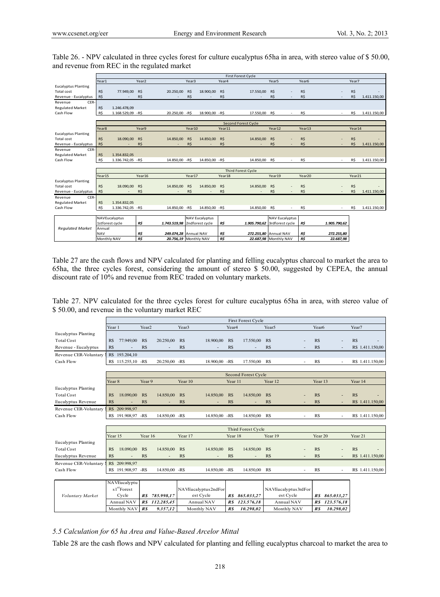Table 26. - NPV calculated in three cycles forest for culture eucalyptus 65ha in area, with stereo value of \$ 50.00, and revenue from REC in the regulated market

|                            |                   |                    |                     |                       |        |                       |        | <b>First Forest Cycle</b> |                              |                   |                          |            |              |
|----------------------------|-------------------|--------------------|---------------------|-----------------------|--------|-----------------------|--------|---------------------------|------------------------------|-------------------|--------------------------|------------|--------------|
|                            | Year1             |                    | Year <sub>2</sub>   |                       | Year3  |                       | Year4  |                           | Year <sub>5</sub>            | Year <sub>6</sub> |                          | Year7      |              |
| <b>Eucalyptus Planting</b> |                   |                    |                     |                       |        |                       |        |                           |                              |                   |                          |            |              |
| Total cost                 | R\$               | 77,949.00          | R\$                 | 20.250,00             | R\$    | 18,900.00             | R\$    | 17.550.00                 | R\$                          | R\$               | ٠                        | R\$        |              |
| Revenue - Eucalyptus       | R\$               |                    | R\$                 |                       | R\$    |                       | R\$    |                           | R\$                          | R\$               |                          | <b>R\$</b> | 1.411.150,00 |
| CER-<br>Revenue            |                   |                    |                     |                       |        |                       |        |                           |                              |                   |                          |            |              |
| <b>Regulated Market</b>    | R\$               | 1.246.478,09       |                     |                       |        |                       |        |                           |                              |                   |                          |            |              |
| Cash Flow                  | R\$               | 1.168.529,09 - R\$ |                     | 20.250,00 - R\$       |        | 18.900,00 - R\$       |        | 17.550,00                 | R\$                          | R\$               | $\overline{\phantom{a}}$ | R\$        | 1.411.150,00 |
|                            |                   |                    |                     |                       |        |                       |        |                           |                              |                   |                          |            |              |
|                            |                   |                    | Second Forest Cycle |                       |        |                       |        |                           |                              |                   |                          |            |              |
|                            | Year <sub>8</sub> |                    | Year9               |                       | Year10 |                       | Year11 |                           | Year12                       | Year13            |                          | Year14     |              |
| <b>Eucalyptus Planting</b> |                   |                    |                     |                       |        |                       |        |                           |                              |                   |                          |            |              |
| Total cost                 | R\$               | 18.090.00          | <b>R\$</b>          | 14,850.00             | R\$    | 14.850.00             | R\$    | 14,850.00                 | R\$                          | R\$               |                          | R\$        |              |
| Revenue - Eucalyptus       | R\$               |                    | R\$                 |                       | R\$    |                       | R\$    |                           | R\$                          | R\$               |                          | <b>R\$</b> | 1.411.150,00 |
| CER-<br>Revenue            |                   |                    |                     |                       |        |                       |        |                           |                              |                   |                          |            |              |
| <b>Regulated Market</b>    | R\$               | 1.354.832.05       |                     |                       |        |                       |        |                           |                              |                   |                          |            |              |
| Cash Flow                  | R\$               | 1.336.742,05 - R\$ |                     | 14.850,00 - R\$       |        | 14.850,00 - R\$       |        | 14.850,00                 | R\$                          | R\$               | $\sim$                   | <b>R\$</b> | 1.411.150,00 |
|                            |                   |                    |                     |                       |        |                       |        |                           |                              |                   |                          |            |              |
|                            |                   |                    |                     |                       |        |                       |        | Third Forest Cycle        |                              |                   |                          |            |              |
|                            | Year15            |                    | Year16              |                       | Year17 |                       | Year18 |                           | Year19                       | Year20            |                          | Year21     |              |
| <b>Eucalyptus Planting</b> |                   |                    |                     |                       |        |                       |        |                           |                              |                   |                          |            |              |
| Total cost                 | R\$               | 18.090,00          | R\$                 | 14.850,00             | R\$    | 14.850,00             | R\$    | 14.850,00                 | R\$                          | R\$               | ÷.                       | R\$        |              |
| Revenue - Eucalyptus       | R\$               |                    | <b>R\$</b>          |                       | R\$    |                       | R\$    |                           | R\$                          | R\$               |                          | <b>R\$</b> | 1.411.150,00 |
| CER-<br>Revenue            |                   |                    |                     |                       |        |                       |        |                           |                              |                   |                          |            |              |
| <b>Regulated Market</b>    | R\$               | 1.354.832,05       |                     |                       |        |                       |        |                           |                              |                   |                          |            |              |
| Cash Flow                  | R\$               | 1.336.742,05 - R\$ |                     | 14.850,00 - R\$       |        | 14.850,00 - R\$       |        | 14.850,00                 | R\$                          | R\$               | $\sim$                   | R\$        | 1.411.150,00 |
|                            |                   |                    |                     |                       |        |                       |        |                           |                              |                   |                          |            |              |
|                            |                   | NAVEucalyptus      |                     |                       |        | <b>NAV Eucalyptus</b> |        |                           | <b>NAV Eucalyptus</b>        |                   |                          |            |              |
|                            |                   | 1stforest cycle    | R\$                 | 1.743.519,98          |        | 2ndforest cycle       | R\$    |                           | 1.905.790,62 3rdforest cycle | R\$               | 1.905.790.62             |            |              |
| <b>Regulated Market</b>    | Annual            |                    |                     |                       |        |                       |        |                           |                              |                   |                          |            |              |
|                            | <b>NAV</b>        |                    | R\$                 | 249.074,28 Annual NAV |        |                       | R\$    |                           | 272.255.80 Annual NAV        | R\$               | 272.255,80               |            |              |
|                            | Monthly NAV       |                    | R\$                 | 20.756,19 Monthly NAV |        |                       | R\$    |                           | 22.687.98 Monthly NAV        | R\$               | 22.687,98                |            |              |

Table 27 are the cash flows and NPV calculated for planting and felling eucalyptus charcoal to market the area to 65ha, the three cycles forest, considering the amount of stereo \$ 50.00, suggested by CEPEA, the annual discount rate of 10% and revenue from REC traded on voluntary markets.

Table 27. NPV calculated for the three cycles forest for culture eucalyptus 65ha in area, with stereo value of \$ 50.00, and revenue in the voluntary market REC

|                            | <b>First Forest Cycle</b> |                         |                   |                |                   |                          |                   |                          |                                 |                   |                          |         |                  |
|----------------------------|---------------------------|-------------------------|-------------------|----------------|-------------------|--------------------------|-------------------|--------------------------|---------------------------------|-------------------|--------------------------|---------|------------------|
|                            | Year 1                    |                         | Year <sub>2</sub> |                | Year <sub>3</sub> |                          | Year <sub>4</sub> |                          | Year <sub>5</sub>               | Year <sub>6</sub> |                          | Year7   |                  |
| <b>Eucalyptus Planting</b> |                           |                         |                   |                |                   |                          |                   |                          |                                 |                   |                          |         |                  |
| <b>Total Cost</b>          | R\$                       | 77.949,00               | R\$               | 20.250,00      | R\$               | 18.900.00                | R\$               | 17.550.00                | R\$                             | RS                | $\overline{\phantom{a}}$ | R\$     |                  |
| Revenue - Eucalyptus       | R\$                       |                         | R\$               |                | R\$               |                          | R\$               |                          | R\$                             | RS                |                          |         | R\$ 1.411.150,00 |
| Revenue CER-Voluntary      |                           | R\$ 193.204,10          |                   |                |                   |                          |                   |                          |                                 |                   |                          |         |                  |
| Cash Flow                  |                           | R\$ 115.255,10 -R\$     |                   | 20.250,00 -R\$ |                   | 18.900.00                | $-RS$             | 17.550.00                | R\$                             | <b>R\$</b>        | $\overline{\phantom{a}}$ |         | R\$ 1.411.150,00 |
|                            |                           |                         |                   |                |                   |                          |                   |                          |                                 |                   |                          |         |                  |
|                            |                           |                         |                   |                |                   |                          |                   | Second Forest Cycle      |                                 |                   |                          |         |                  |
|                            | Year <sub>8</sub>         |                         | Year <sub>9</sub> |                | Year 10           |                          | Year 11           |                          | Year <sub>12</sub>              | Year 13           |                          | Year 14 |                  |
| Eucalyptus Planting        |                           |                         |                   |                |                   |                          |                   |                          |                                 |                   |                          |         |                  |
| <b>Total Cost</b>          | R\$                       | 18.090.00               | R\$               | 14.850,00      | R\$               | 14.850.00                | R\$               | 14.850.00                | R\$                             | RS                | $\overline{a}$           | R\$     |                  |
| Eucalyptus Revenue         | R\$                       |                         | R\$               | $\overline{a}$ | R\$               | ۰                        | R\$               | ۰                        | R\$<br>$\overline{\phantom{a}}$ | RS                | $\overline{\phantom{a}}$ |         | R\$ 1.411.150,00 |
| Revenue CER-Voluntary      |                           | R\$ 209.998,97          |                   |                |                   |                          |                   |                          |                                 |                   |                          |         |                  |
| Cash Flow                  |                           | R\$ 191.908,97 -R\$     |                   | 14.850.00 -R\$ |                   | 14.850.00                | -R\$              | 14.850.00                | R\$                             | RS                | ÷,                       |         | R\$ 1.411.150,00 |
|                            |                           |                         |                   |                |                   |                          |                   |                          |                                 |                   |                          |         |                  |
|                            |                           |                         |                   |                |                   |                          |                   | Third Forest Cycle       |                                 |                   |                          |         |                  |
|                            | Year 15                   |                         | Year 16           |                | Year 17           |                          | Year 18           |                          | Year 19                         | Year 20           |                          | Year 21 |                  |
| Eucalyptus Planting        |                           |                         |                   |                |                   |                          |                   |                          |                                 |                   |                          |         |                  |
| <b>Total Cost</b>          | R\$                       | 18.090,00               | R\$               | 14.850,00      | R\$               | 14.850,00                | R\$               | 14.850,00                | R\$                             | R\$               | $\overline{a}$           | R\$     |                  |
| Eucalyptus Revenue         | R\$                       |                         | R\$               |                | R\$               | $\overline{\phantom{a}}$ | R\$               | $\overline{\phantom{a}}$ | R\$                             | RS                | $\overline{a}$           |         | R\$ 1.411.150,00 |
| Revenue CER-Voluntary      |                           | R\$ 209.998,97          |                   |                |                   |                          |                   |                          |                                 |                   |                          |         |                  |
| Cash Flow                  |                           | R\$ 191.908,97 -R\$     |                   | 14.850,00 -R\$ |                   | 14.850.00                | $-Rs$             | 14.850,00                | R\$                             | RS                |                          |         | R\$ 1.411.150,00 |
|                            |                           |                         |                   |                |                   |                          |                   |                          |                                 |                   |                          |         |                  |
|                            |                           | NA VEucalyptu           |                   |                |                   |                          |                   |                          |                                 |                   |                          |         |                  |
|                            |                           | s <sup>1st</sup> Forest |                   |                |                   | NAVEucalyptus2ndFor      |                   |                          | NAVEucalyptus3rdFor             |                   |                          |         |                  |
| Voluntary Market           |                           | Cycle                   | $\overline{RS}$   | 785.998.17     |                   | est Cycle                | R\$               | 865.033,27               | est Cycle                       | <b>RS</b>         | 865.033,27               |         |                  |
|                            |                           | Annual NAV              | $\overline{RS}$   | 112,285,45     |                   | Annual NAV               | $\overline{RS}$   | 123.576,18               | Annual NAV                      | <b>RS</b>         | 123.576,18               |         |                  |
|                            |                           | Monthly NAV             | RS                | 9.357,12       |                   | Monthly NAV              | RS                | 10.298,02                | Monthly NAV                     | RS                | 10.298,02                |         |                  |

## *5.5 Calculation for 65 ha Area and Value-Based Arcelor Mittal*

Table 28 are the cash flows and NPV calculated for planting and felling eucalyptus charcoal to market the area to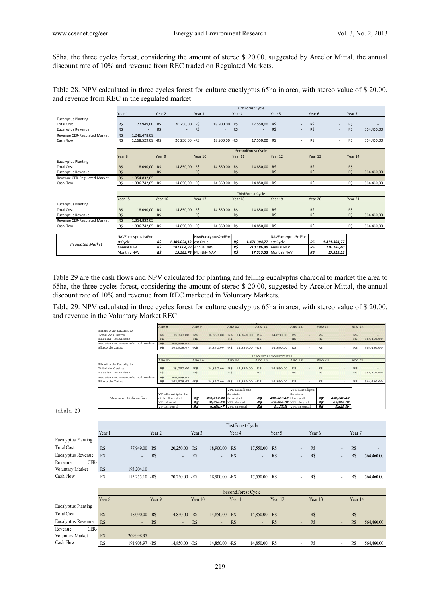65ha, the three cycles forest, considering the amount of stereo \$ 20.00, suggested by Arcelor Mittal, the annual discount rate of 10% and revenue from REC traded on Regulated Markets.

Table 28. NPV calculated in three cycles forest for culture eucalyptus 65ha in area, with stereo value of \$ 20.00, and revenue from REC in the regulated market

|                              | <b>FirstForest Cycle</b> |                      |                   |                        |         |                     |         |                        |                       |            |              |         |            |
|------------------------------|--------------------------|----------------------|-------------------|------------------------|---------|---------------------|---------|------------------------|-----------------------|------------|--------------|---------|------------|
|                              | Year 1                   |                      | Year <sub>2</sub> |                        | Year 3  |                     | Year 4  |                        | Year 5                | Year 6     |              | Year 7  |            |
| <b>Eucalyptus Planting</b>   |                          |                      |                   |                        |         |                     |         |                        |                       |            |              |         |            |
| <b>Total Cost</b>            | R\$                      | 77.949.00            | R\$               | 20.250,00              | R\$     | 18,900.00           | R\$     | 17.550.00              | R\$                   | R\$        |              | R\$     |            |
| Eucalyptus Revenue           | R\$                      |                      | R\$               |                        | R\$     |                     | R\$     |                        | R\$                   | <b>R\$</b> |              | R\$     | 564,460.00 |
| Revenue CER-Regulated Market | R\$                      | 1.246.478.09         |                   |                        |         |                     |         |                        |                       |            |              |         |            |
| Cash Flow                    | R\$                      | 1.168.529,09 -R\$    |                   | 20.250,00 -R\$         |         | 18.900,00 -R\$      |         | 17.550,00 R\$          |                       | R\$        |              | R\$     | 564.460,00 |
|                              |                          |                      |                   |                        |         |                     |         |                        |                       |            |              |         |            |
|                              |                          | SecondForest Cycle   |                   |                        |         |                     |         |                        |                       |            |              |         |            |
|                              | Year <sub>8</sub>        |                      | Year 9            |                        | Year 10 |                     | Year 11 |                        | Year 12               | Year 13    |              | Year 14 |            |
| <b>Eucalyptus Planting</b>   |                          |                      |                   |                        |         |                     |         |                        |                       |            |              |         |            |
| <b>Total Cost</b>            | R\$                      | 18.090,00            | R\$               | 14.850,00              | R\$     | 14.850,00           | R\$     | 14.850,00              | R\$                   | R\$        |              | R\$     |            |
| <b>Eucalyptus Revenue</b>    | R\$                      |                      | R\$               |                        | R\$     |                     | R\$     |                        | R\$                   | R\$        |              | R\$     | 564.460,00 |
| Revenue CER-Regulated Market | R\$                      | 1.354.832,05         |                   |                        |         |                     |         |                        |                       |            |              |         |            |
| Cash Flow                    | R\$                      | 1.336.742,05 - R\$   |                   | 14.850,00 -R\$         |         | 14.850,00 -R\$      |         | 14.850,00 R\$          | ٠                     | R\$        |              | R\$     | 564.460,00 |
|                              |                          |                      |                   |                        |         |                     |         |                        |                       |            |              |         |            |
|                              |                          |                      |                   |                        |         |                     |         | ThirdForest Cycle      |                       |            |              |         |            |
|                              | Year 15                  |                      | Year 16           |                        | Year 17 |                     | Year 18 |                        | Year 19               | Year 20    |              | Year 21 |            |
| <b>Eucalyptus Planting</b>   |                          |                      |                   |                        |         |                     |         |                        |                       |            |              |         |            |
| <b>Total Cost</b>            | R\$                      | 18,090.00            | R\$               | 14.850,00              | R\$     | 14.850,00           | R\$     | 14.850,00              | R\$                   | R\$        |              | R\$     |            |
| Eucalyptus Revenue           | R\$                      |                      | R\$               |                        | R\$     |                     | R\$     |                        | R\$                   | R\$        |              | R\$     | 564.460,00 |
| Revenue CER-Regulated Market | R\$                      | 1.354.832,05         |                   |                        |         |                     |         |                        |                       |            |              |         |            |
| Cash Flow                    | R\$                      | 1.336.742.05 - R\$   |                   | 14.850,00 -R\$         |         | 14.850.00 - R\$     |         | 14,850.00 R\$          |                       | R\$        |              | R\$     | 564.460,00 |
|                              |                          |                      |                   |                        |         |                     |         |                        |                       |            |              |         |            |
|                              |                          | NAVEucalyptus1stFore |                   |                        |         | NAVEucalyptus2ndFor |         |                        | NAVEucalyptus3rdFor   |            |              |         |            |
| <b>Regulated Market</b>      | st Cycle                 |                      | R\$               | 1.309.034,13 est Cycle |         |                     | R\$     | 1.471.304,77 est Cycle |                       | R\$        | 1.471.304,77 |         |            |
|                              | Annual NAV               |                      | R\$               | 187.004,88 Annual NAV  |         |                     | R\$     |                        | 210.186,40 Annual NAV | R\$        | 210.186,40   |         |            |
|                              | Monthly NAV              |                      | R\$               | 15.583,74 Monthly NAV  |         |                     | R\$     |                        | 17.515,53 Monthly NAV | R\$        | 17.515,53    |         |            |

Table 29 are the cash flows and NPV calculated for planting and felling eucalyptus charcoal to market the area to 65ha, the three cycles forest, considering the amount of stereo \$ 20.00, suggested by Arcelor Mittal, the annual discount rate of 10% and revenue from REC marketed in Voluntary Markets.

Table 29. NPV calculated in three cycles forest for culture eucalyptus 65ha in area, with stereo value of \$ 20.00, and revenue in the Voluntary Market REC

|                     |                                                       |                   | Ano 8                                        | Amo 9             |                             | Ano 10    |                         | Ano 11     |                          | Ano 12                  |            | Ano 13         |                          | Ano 14            |            |  |
|---------------------|-------------------------------------------------------|-------------------|----------------------------------------------|-------------------|-----------------------------|-----------|-------------------------|------------|--------------------------|-------------------------|------------|----------------|--------------------------|-------------------|------------|--|
|                     | Plantio de Eucalipto                                  |                   |                                              |                   |                             |           |                         |            |                          |                         |            |                |                          |                   |            |  |
|                     | Total de Custos                                       |                   | 18,090.00<br>R\$                             | R\$               | 14,850.00                   | 訳多        | 14,850.00               | <b>RS</b>  | 14,850.00                | 訳多                      |            | R\$            |                          | R\$               |            |  |
|                     | Receita - eucalipto                                   |                   | RS                                           | RS                |                             | RS        |                         | 訳多         |                          | 訳多                      |            | R\$            |                          | BS.               | 564,460.00 |  |
|                     | Receita REC-Mercado Voluntário<br>Fluxo de Caixa      |                   | R\$<br>209,998.97<br>191,908.97<br>R\$       | $-52.5$           | 14,850.00                   | $-0.5$    | 14,850.00               | $-335$     | 14,850.00                | R\$                     |            | R\$            | $\sim$                   | R\$               | 564,460.00 |  |
|                     |                                                       |                   |                                              |                   |                             |           |                         |            |                          |                         |            |                |                          |                   |            |  |
|                     |                                                       |                   |                                              |                   |                             |           |                         |            | Terceiro Ciclo Florestal |                         |            |                |                          |                   |            |  |
|                     |                                                       |                   | Ano 15                                       | Ano 16            |                             | Ano 17    |                         | Ano 18     |                          | Ano 19                  |            | Ano 20         |                          | Ano21             |            |  |
|                     | Plantio de Eucalipto                                  |                   |                                              |                   |                             |           |                         |            |                          |                         |            |                |                          |                   |            |  |
|                     | Total de Custos                                       |                   | 18,090.00<br>R\$                             | RS                | 14,850.00                   |           | R\$ 14,850.00           | 訳多         | 14,850.00                | R\$                     |            | R\$            |                          | BS.               |            |  |
|                     | Receita - eucalipto<br>Receita REC-Mercado Voluntário |                   | R\$                                          | R\$               |                             | R\$       |                         | R\$        |                          | R\$                     |            | R\$            |                          | R\$               | 564,460.00 |  |
|                     | Fluxo de Caixa                                        |                   | 209,998.97<br>R\$<br>R\$<br>191,908.97 - R\$ |                   | 14,850.00 R\$ 14,850.00 R\$ |           |                         |            | 14,850.00                | R\$                     |            | R\$            |                          | R\$               | 564,460.00 |  |
|                     |                                                       |                   |                                              |                   |                             |           |                         |            |                          |                         |            |                |                          |                   |            |  |
|                     |                                                       |                   |                                              |                   |                             |           | VPL Eucalipto           |            |                          | VPL Eucalipto           |            |                |                          |                   |            |  |
|                     |                                                       |                   | VPLEucalipto 1o                              |                   |                             | 20 ciclo  |                         |            |                          | 30 ciclo                |            |                |                          |                   |            |  |
|                     | Mescado Voluntário                                    |                   | ciclo florestal                              | R\$               | 351,512.33                  | florestal |                         | R\$        | 430,547.43               | florestal               |            | Ħ              | 430,547.43               |                   |            |  |
|                     |                                                       |                   | <b>VPL</b> Anual<br><b>VPL</b> mensal        | R\$<br>E\$        | 3,210.05<br>4,184.67        |           | VPL Anual<br>VPL mensal | E\$<br>E\$ | 61.506.78<br>5,125.56    | VPL Anual<br>VPL mensal |            | B<br><b>zs</b> | 61,506.78<br>5,125.56    |                   |            |  |
| tabela 29           |                                                       |                   |                                              |                   |                             |           |                         |            |                          |                         |            |                |                          |                   |            |  |
|                     |                                                       |                   |                                              |                   |                             |           |                         |            |                          |                         |            |                |                          |                   |            |  |
|                     |                                                       |                   |                                              |                   |                             |           |                         |            |                          |                         |            |                |                          |                   |            |  |
|                     |                                                       | FirstForest Cycle |                                              |                   |                             |           |                         |            |                          |                         |            |                |                          |                   |            |  |
|                     |                                                       |                   |                                              |                   |                             |           |                         |            |                          |                         |            |                |                          |                   |            |  |
|                     | Year 1<br>Year <sub>2</sub>                           |                   |                                              | Year <sub>3</sub> |                             |           | Year <sub>4</sub>       |            | Year 5                   | Year 6                  |            |                |                          | Year <sub>7</sub> |            |  |
| Eucalyptus Planting |                                                       |                   |                                              |                   |                             |           |                         |            |                          |                         |            |                |                          |                   |            |  |
| <b>Total Cost</b>   |                                                       |                   |                                              |                   |                             |           |                         |            |                          |                         |            |                |                          |                   |            |  |
|                     | R\$<br>77,949.00                                      | R\$               | 20,250.00                                    | R\$               | 18,900.00                   | R\$       |                         | 17,550.00  | R\$                      |                         | R\$        |                |                          | R\$               |            |  |
| Eucalyptus Revenue  | R\$                                                   | R\$               | $\qquad \qquad \blacksquare$                 | R\$               |                             | R\$       |                         |            | R\$                      |                         | R\$        |                | $\overline{\phantom{a}}$ | R\$               | 564,460.00 |  |
| CER-<br>Revenue     |                                                       |                   |                                              |                   |                             |           |                         |            |                          |                         |            |                |                          |                   |            |  |
|                     |                                                       |                   |                                              |                   |                             |           |                         |            |                          |                         |            |                |                          |                   |            |  |
| Voluntary Market    | R\$<br>193,204.10                                     |                   |                                              |                   |                             |           |                         |            |                          |                         |            |                |                          |                   |            |  |
| Cash Flow           | R\$<br>115,255.10 -R\$                                |                   | 20,250.00 -R\$                               |                   | 18,900.00 -R\$              |           |                         | 17,550.00  | R\$                      | ٠                       | R\$        |                | $\sim$                   | R\$               | 564,460.00 |  |
|                     |                                                       |                   |                                              |                   |                             |           |                         |            |                          |                         |            |                |                          |                   |            |  |
|                     |                                                       |                   |                                              |                   |                             |           |                         |            |                          |                         |            |                |                          |                   |            |  |
|                     |                                                       |                   |                                              |                   |                             |           | SecondForest Cycle      |            |                          |                         |            |                |                          |                   |            |  |
|                     | Year <sub>8</sub>                                     | Year <sub>9</sub> |                                              | Year 10           |                             |           | Year 11                 |            | Year <sub>12</sub>       |                         |            | Year 13        |                          | Year 14           |            |  |
| Eucalyptus Planting |                                                       |                   |                                              |                   |                             |           |                         |            |                          |                         |            |                |                          |                   |            |  |
|                     |                                                       |                   |                                              |                   |                             |           |                         |            |                          |                         |            |                |                          |                   |            |  |
| <b>Total Cost</b>   | R\$<br>18,090.00                                      | R\$               | 14,850.00                                    | R\$               | 14,850.00                   | R\$       |                         | 14,850.00  | R\$                      |                         | R\$        |                |                          | R\$               |            |  |
| Eucalyptus Revenue  | <b>R\$</b>                                            | <b>R\$</b>        | ٠                                            | R\$               |                             | R\$       |                         |            | R\$                      |                         | <b>R\$</b> |                |                          | R\$               | 564,460.00 |  |
| Revenue<br>CER-     |                                                       |                   |                                              |                   |                             |           |                         |            |                          |                         |            |                |                          |                   |            |  |
| Voluntary Market    | R\$<br>209,998.97                                     |                   |                                              |                   |                             |           |                         |            |                          |                         |            |                |                          |                   |            |  |
|                     |                                                       |                   |                                              |                   |                             |           |                         |            |                          |                         |            |                |                          |                   |            |  |
| Cash Flow           | <b>R\$</b><br>191.908.97 -R\$                         |                   | 14.850.00 -R\$                               |                   | 14.850.00 -R\$              |           |                         | 14.850.00  | R\$                      |                         | <b>R\$</b> |                |                          | R\$               | 564,460.00 |  |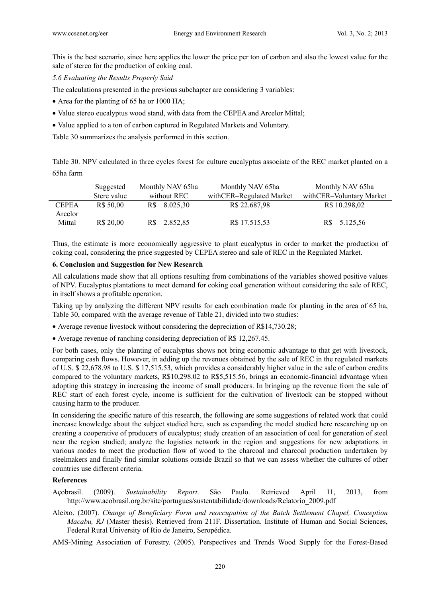This is the best scenario, since here applies the lower the price per ton of carbon and also the lowest value for the sale of stereo for the production of coking coal.

*5.6 Evaluating the Results Properly Said* 

The calculations presented in the previous subchapter are considering 3 variables:

- Area for the planting of 65 ha or 1000 HA;
- Value stereo eucalyptus wood stand, with data from the CEPEA and Arcelor Mittal;
- Value applied to a ton of carbon captured in Regulated Markets and Voluntary.

Table 30 summarizes the analysis performed in this section.

Table 30. NPV calculated in three cycles forest for culture eucalyptus associate of the REC market planted on a 65ha farm

|                         | Monthly NAV 65ha<br>Suggested |             | Monthly NAV 65ha | Monthly NAV 65ha         |                          |
|-------------------------|-------------------------------|-------------|------------------|--------------------------|--------------------------|
|                         | Stere value                   | without REC |                  | withCER-Regulated Market | withCER-Voluntary Market |
| <b>CEPEA</b><br>Arcelor | R\$ 50,00                     |             | R\$ 8.025,30     | R\$ 22.687,98            | R\$ 10.298,02            |
| Mittal                  | R\$ 20.00                     | R\$         | 2.852.85         | R\$ 17.515,53            | 5.125,56                 |

Thus, the estimate is more economically aggressive to plant eucalyptus in order to market the production of coking coal, considering the price suggested by CEPEA stereo and sale of REC in the Regulated Market.

#### **6. Conclusion and Suggestion for New Research**

All calculations made show that all options resulting from combinations of the variables showed positive values of NPV. Eucalyptus plantations to meet demand for coking coal generation without considering the sale of REC, in itself shows a profitable operation.

Taking up by analyzing the different NPV results for each combination made for planting in the area of 65 ha, Table 30, compared with the average revenue of Table 21, divided into two studies:

- Average revenue livestock without considering the depreciation of R\$14,730.28;
- Average revenue of ranching considering depreciation of R\$ 12,267.45.

For both cases, only the planting of eucalyptus shows not bring economic advantage to that get with livestock, comparing cash flows. However, in adding up the revenues obtained by the sale of REC in the regulated markets of U.S. \$ 22,678.98 to U.S. \$ 17,515.53, which provides a considerably higher value in the sale of carbon credits compared to the voluntary markets, R\$10,298.02 to R\$5,515.56, brings an economic-financial advantage when adopting this strategy in increasing the income of small producers. In bringing up the revenue from the sale of REC start of each forest cycle, income is sufficient for the cultivation of livestock can be stopped without causing harm to the producer.

In considering the specific nature of this research, the following are some suggestions of related work that could increase knowledge about the subject studied here, such as expanding the model studied here researching up on creating a cooperative of producers of eucalyptus; study creation of an association of coal for generation of steel near the region studied; analyze the logistics network in the region and suggestions for new adaptations in various modes to meet the production flow of wood to the charcoal and charcoal production undertaken by steelmakers and finally find similar solutions outside Brazil so that we can assess whether the cultures of other countries use different criteria.

# **References**

- Açobrasil. (2009). *Sustainability Report*. São Paulo. Retrieved April 11, 2013, from http://www.acobrasil.org.br/site/portugues/sustentabilidade/downloads/Relatorio\_2009.pdf
- Aleixo. (2007). *Change of Beneficiary Form and reoccupation of the Batch Settlement Chapel, Conception Macabu, RJ* (Master thesis)*.* Retrieved from 211F. Dissertation. Institute of Human and Social Sciences, Federal Rural University of Rio de Janeiro, Seropédica.

AMS-Mining Association of Forestry. (2005). Perspectives and Trends Wood Supply for the Forest-Based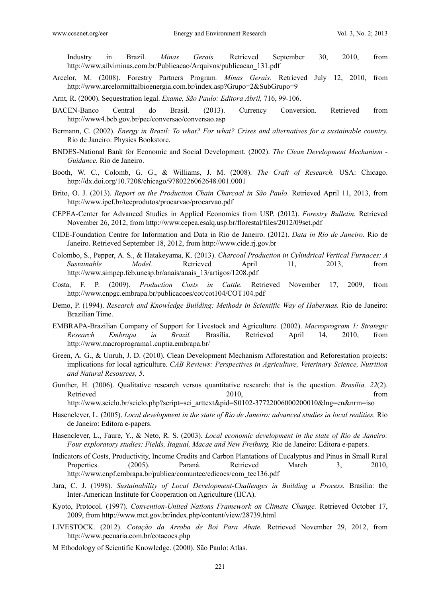Industry in Brazil. *Minas Gerais.* Retrieved September 30, 2010, from http://www.silviminas.com.br/Publicacao/Arquivos/publicacao\_131.pdf

- Arcelor, M. (2008). Forestry Partners Program*. Minas Gerais.* Retrieved July 12, 2010, from http://www.arcelormittalbioenergia.com.br/index.asp?Grupo=2&SubGrupo=9
- Arnt, R. (2000). Sequestration legal. *Exame, São Paulo: Editora Abril,* 716, 99-106.
- BACEN-Banco Central do Brasil. (2013). Currency Conversion. Retrieved from http://www4.bcb.gov.br/pec/conversao/conversao.asp
- Bermann, C. (2002). *Energy in Brazil: To what? For what? Crises and alternatives for a sustainable country.* Rio de Janeiro: Physics Bookstore.
- BNDES-National Bank for Economic and Social Development. (2002). *The Clean Development Mechanism Guidance.* Rio de Janeiro.
- Booth, W. C., Colomb, G. G., & Williams, J. M. (2008). *The Craft of Research.* USA: Chicago. http://dx.doi.org/10.7208/chicago/9780226062648.001.0001
- Brito, O. J. (2013). *Report on the Production Chain Charcoal in São Paulo*. Retrieved April 11, 2013, from http://www.ipef.br/tecprodutos/procarvao/procarvao.pdf
- CEPEA-Center for Advanced Studies in Applied Economics from USP. (2012). *Forestry Bulletin.* Retrieved November 26, 2012, from http://www.cepea.esalq.usp.br/florestal/files/2012/09set.pdf
- CIDE-Foundation Centre for Information and Data in Rio de Janeiro. (2012). *Data in Rio de Janeiro.* Rio de Janeiro. Retrieved September 18, 2012, from http://www.cide.rj.gov.br
- Colombo, S., Pepper, A. S., & Hatakeyama, K. (2013). *Charcoal Production in Cylindrical Vertical Furnaces: A Sustainable Model.* Retrieved April 11, 2013, from http://www.simpep.feb.unesp.br/anais/anais\_13/artigos/1208.pdf
- Costa, F. P. (2009). *Production Costs in Cattle.* Retrieved November 17, 2009, from http://www.cnpgc.embrapa.br/publicacoes/cot/cot104/COT104.pdf
- Demo, P. (1994). *Research and Knowledge Building: Methods in Scientific Way of Habermas.* Rio de Janeiro: Brazilian Time.
- EMBRAPA-Brazilian Company of Support for Livestock and Agriculture. (2002). *Macroprogram 1: Strategic Research Embrapa in Brazil.* Brasília. Retrieved April 14, 2010, from http://www.macroprograma1.cnptia.embrapa.br/
- Green, A. G., & Unruh, J. D. (2010). Clean Development Mechanism Afforestation and Reforestation projects: implications for local agriculture. *CAB Reviews: Perspectives in Agriculture, Veterinary Science, Nutrition and Natural Resources, 5*.
- Gunther, H. (2006). Qualitative research versus quantitative research: that is the question. *Brasília, 22*(2). Retrieved 2010, from the settlement of the settlement of the settlement of the settlement of the settlement of the settlement of the settlement of the settlement of the settlement of the settlement of the settlement of the http://www.scielo.br/scielo.php?script=sci\_arttext&pid=S0102-37722006000200010&lng=en&nrm=iso
- Hasenclever, L. (2005). *Local development in the state of Rio de Janeiro: advanced studies in local realities.* Rio de Janeiro: Editora e-papers.
- Hasenclever, L., Faure, Y., & Neto, R. S. (2003). *Local economic development in the state of Rio de Janeiro: Four exploratory studies: Fields, Itaguaí, Macae and New Freiburg.* Rio de Janeiro: Editora e-papers.
- Indicators of Costs, Productivity, Income Credits and Carbon Plantations of Eucalyptus and Pinus in Small Rural Properties. (2005). Paraná. Retrieved March 3, 2010, http://www.cnpf.embrapa.br/publica/comuntec/edicoes/com\_tec136.pdf
- Jara, C. J. (1998). *Sustainability of Local Development-Challenges in Building a Process.* Brasilia: the Inter-American Institute for Cooperation on Agriculture (IICA).
- Kyoto, Protocol. (1997). *Convention-United Nations Framework on Climate Change.* Retrieved October 17, 2009, from http://www.mct.gov.br/index.php/content/view/28739.html
- LIVESTOCK. (2012). *Cotação da Arroba de Boi Para Abate.* Retrieved November 29, 2012, from http://www.pecuaria.com.br/cotacoes.php
- M Ethodology of Scientific Knowledge. (2000). São Paulo: Atlas.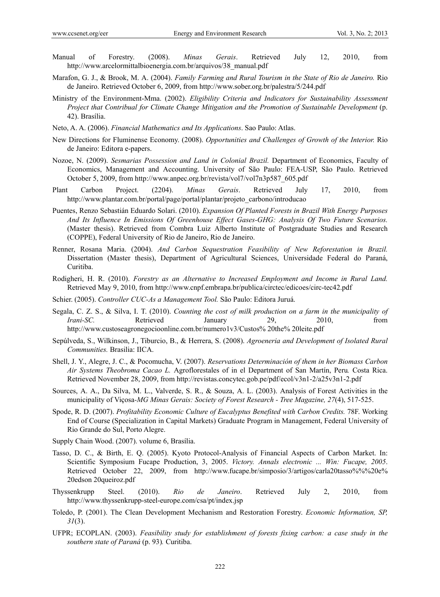- Manual of Forestry. (2008). *Minas Gerais*. Retrieved July 12, 2010, from http://www.arcelormittalbioenergia.com.br/arquivos/38\_manual.pdf
- Marafon, G. J., & Brook, M. A. (2004). *Family Farming and Rural Tourism in the State of Rio de Janeiro.* Rio de Janeiro. Retrieved October 6, 2009, from http://www.sober.org.br/palestra/5/244.pdf
- Ministry of the Environment-Mma. (2002). *Eligibility Criteria and Indicators for Sustainability Assessment Project that Contribual for Climate Change Mitigation and the Promotion of Sustainable Development* (p. 42). Brasília.
- Neto, A. A. (2006). *Financial Mathematics and Its Applications*. Sao Paulo: Atlas.
- New Directions for Fluminense Economy. (2008). *Opportunities and Challenges of Growth of the Interior.* Rio de Janeiro: Editora e-papers.
- Nozoe, N. (2009). *Sesmarias Possession and Land in Colonial Brazil.* Department of Economics, Faculty of Economics, Management and Accounting. University of São Paulo: FEA-USP, São Paulo. Retrieved October 5, 2009, from http://www.anpec.org.br/revista/vol7/vol7n3p587\_605.pdf
- Plant Carbon Project. (2204). *Minas Gerais*. Retrieved July 17, 2010, from http://www.plantar.com.br/portal/page/portal/plantar/projeto\_carbono/introducao
- Puentes, Renzo Sebastián Eduardo Solari. (2010). *Expansion Of Planted Forests in Brazil With Energy Purposes And Its Influence In Emissions Of Greenhouse Effect Gases-GHG: Analysis Of Two Future Scenarios.* (Master thesis). Retrieved from Combra Luiz Alberto Institute of Postgraduate Studies and Research (COPPE), Federal University of Rio de Janeiro, Rio de Janeiro.
- Renner, Rosana Maria. (2004). *And Carbon Sequestration Feasibility of New Reforestation in Brazil.* Dissertation (Master thesis), Department of Agricultural Sciences, Universidade Federal do Paraná, Curitiba.
- Rodigheri, H. R. (2010). *Forestry as an Alternative to Increased Employment and Income in Rural Land.* Retrieved May 9, 2010, from http://www.cnpf.embrapa.br/publica/circtec/edicoes/circ-tec42.pdf
- Schier. (2005). *Controller CUC-As a Management Tool.* São Paulo: Editora Juruá.
- Segala, C. Z. S., & Silva, I. T. (2010). *Counting the cost of milk production on a farm in the municipality of Irani-SC.* Retrieved January 29, 2010, from http://www.custoseagronegocioonline.com.br/numero1v3/Custos% 20the% 20leite.pdf
- Sepúlveda, S., Wilkinson, J., Tiburcio, B., & Herrera, S. (2008). *Agroeneria and Development of Isolated Rural Communities.* Brasilia: IICA.
- Shell, J. Y., Alegre, J. C., & Pocomucha, V. (2007). *Reservations Determinación of them in her Biomass Carbon Air Systems Theobroma Cacao L.* Agroflorestales of in el Department of San Martín, Peru*.* Costa Rica. Retrieved November 28, 2009, from http://revistas.concytec.gob.pe/pdf/ecol/v3n1-2/a25v3n1-2.pdf
- Sources, A. A., Da Silva, M. L., Valverde, S. R., & Souza, A. L. (2003). Analysis of Forest Activities in the municipality of Viçosa*-MG Minas Gerais: Society of Forest Research - Tree Magazine, 27*(4), 517-525.
- Spode, R. D. (2007). *Profitability Economic Culture of Eucalyptus Benefited with Carbon Credits.* 78F. Working End of Course (Specialization in Capital Markets) Graduate Program in Management, Federal University of Rio Grande do Sul, Porto Alegre.
- Supply Chain Wood. (2007). volume 6, Brasília.
- Tasso, D. C., & Birth, E. Q. (2005). Kyoto Protocol-Analysis of Financial Aspects of Carbon Market. In: Scientific Symposium Fucape Production, 3, 2005. *Victory. Annals electronic ... Win: Fucape, 2005*. Retrieved October 22, 2009, from http://www.fucape.br/simposio/3/artigos/carla20tasso%%%20e% 20edson 20queiroz.pdf
- Thyssenkrupp Steel. (2010). *Rio de Janeiro*. Retrieved July 2, 2010, from http://www.thyssenkrupp-steel-europe.com/csa/pt/index.jsp
- Toledo, P. (2001). The Clean Development Mechanism and Restoration Forestry. *Economic Information, SP, 31*(3).
- UFPR; ECOPLAN. (2003). *Feasibility study for establishment of forests fixing carbon: a case study in the southern state of Paraná* (p. 93)*.* Curitiba.